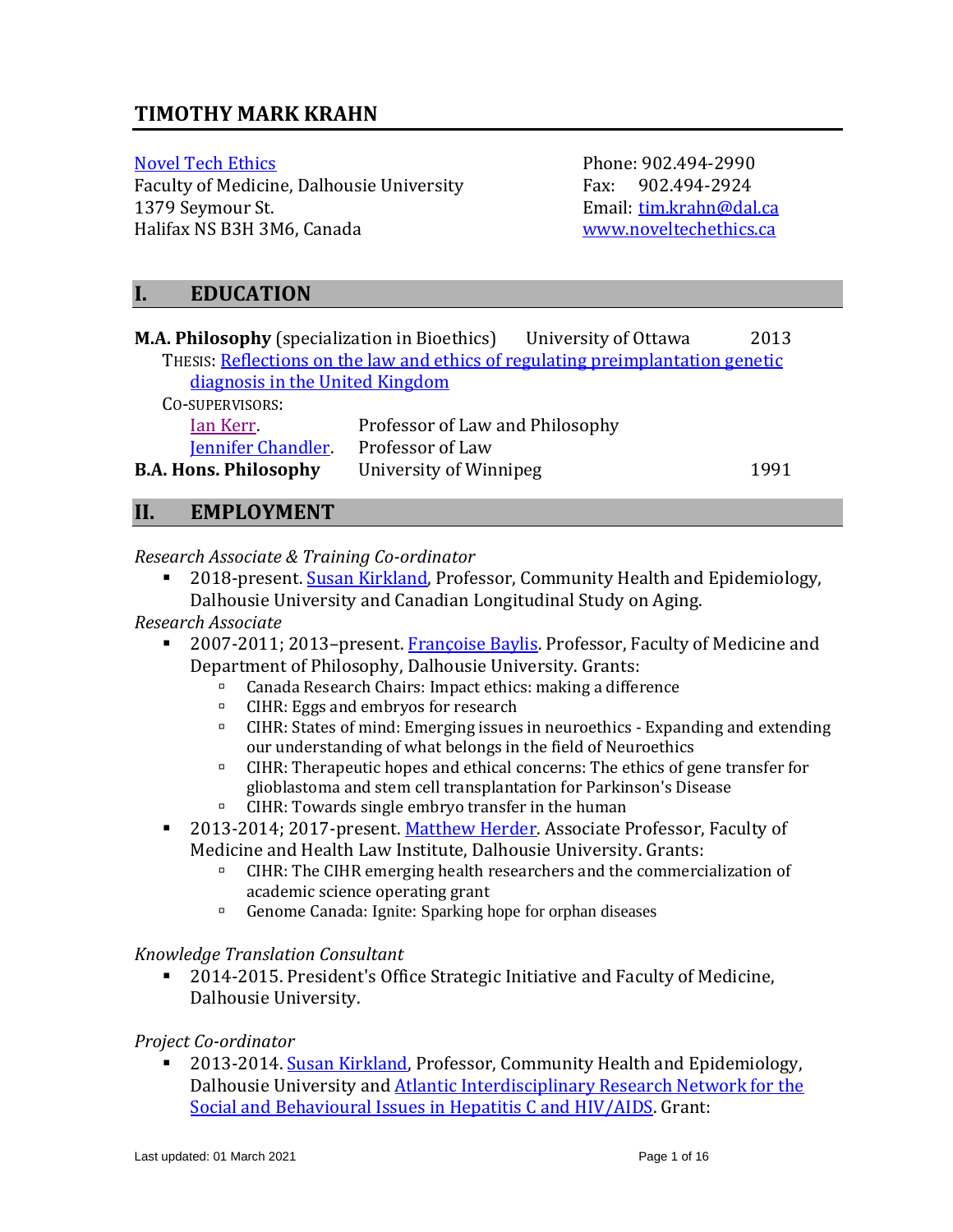# **TIMOTHY MARK KRAHN**

Faculty of Medicine, Dalhousie University Fax: 902.494-2924 1379 Seymour St. Email: [tim.krahn@dal.ca](mailto:tim.krahn@dal.ca) Halifax NS B3H 3M6, Canada [www.noveltechethics.ca](http://www.noveltechethics.ca/)

[Novel Tech Ethics](http://noveltechethics.ca/) **Phone: 902.494-2990** 

# **I. EDUCATION**

| <b>M.A. Philosophy</b> (specialization in Bioethics)                            |                                 | University of Ottawa | 2013 |  |
|---------------------------------------------------------------------------------|---------------------------------|----------------------|------|--|
| THESIS: Reflections on the law and ethics of regulating preimplantation genetic |                                 |                      |      |  |
| diagnosis in the United Kingdom                                                 |                                 |                      |      |  |
| CO-SUPERVISORS:                                                                 |                                 |                      |      |  |
| Ian Kerr                                                                        | Professor of Law and Philosophy |                      |      |  |
| <b>Jennifer Chandler</b>                                                        | Professor of Law                |                      |      |  |
| <b>B.A. Hons. Philosophy</b>                                                    | University of Winnipeg          |                      | 1991 |  |

# **II. EMPLOYMENT**

#### *Research Associate & Training Co-ordinator*

2018-present. [Susan Kirkland,](http://medicine.dal.ca/departments/department-sites/community-health/our-people/our-faculty/susan-kirkland.html) Professor, Community Health and Epidemiology, Dalhousie University and Canadian Longitudinal Study on Aging.

*Research Associate*

- 2007-2011; 2013–present. [Françoise Baylis.](http://www.dal.ca/sites/noveltechethics/our-people/francoise-baylis.html) Professor, Faculty of Medicine and Department of Philosophy, Dalhousie University. Grants:
	- Canada Research Chairs: Impact ethics: making a difference
	- □ CIHR: Eggs and embryos for research
	- CIHR: States of mind: Emerging issues in neuroethics Expanding and extending our understanding of what belongs in the field of Neuroethics
	- CIHR: Therapeutic hopes and ethical concerns: The ethics of gene transfer for glioblastoma and stem cell transplantation for Parkinson's Disease
	- □ CIHR: Towards single embryo transfer in the human
- 2013-2014; 2017-present. [Matthew Herder.](http://www.dal.ca/faculty/law/faculty-staff/our-faculty/matthew-herder.html) Associate Professor, Faculty of Medicine and Health Law Institute, Dalhousie University. Grants:
	- CIHR: The CIHR emerging health researchers and the commercialization of academic science operating grant
	- Genome Canada: [Ignite: Sparking hope for orphan diseases](http://igniteproject.ca/team)

*Knowledge Translation Consultant*

2014-2015. President's Office Strategic Initiative and Faculty of Medicine, Dalhousie University.

#### *Project Co-ordinator*

2013-2014[. Susan Kirkland,](http://medicine.dal.ca/departments/department-sites/community-health/our-people/our-faculty/susan-kirkland.html) Professor, Community Health and Epidemiology, Dalhousie University and **Atlantic Interdisciplinary Research Network for the** Social and [Behavioural Issues in Hepatitis C and](http://www.med.mun.ca/airn2012/home.aspx) HIV/AIDS. Grant: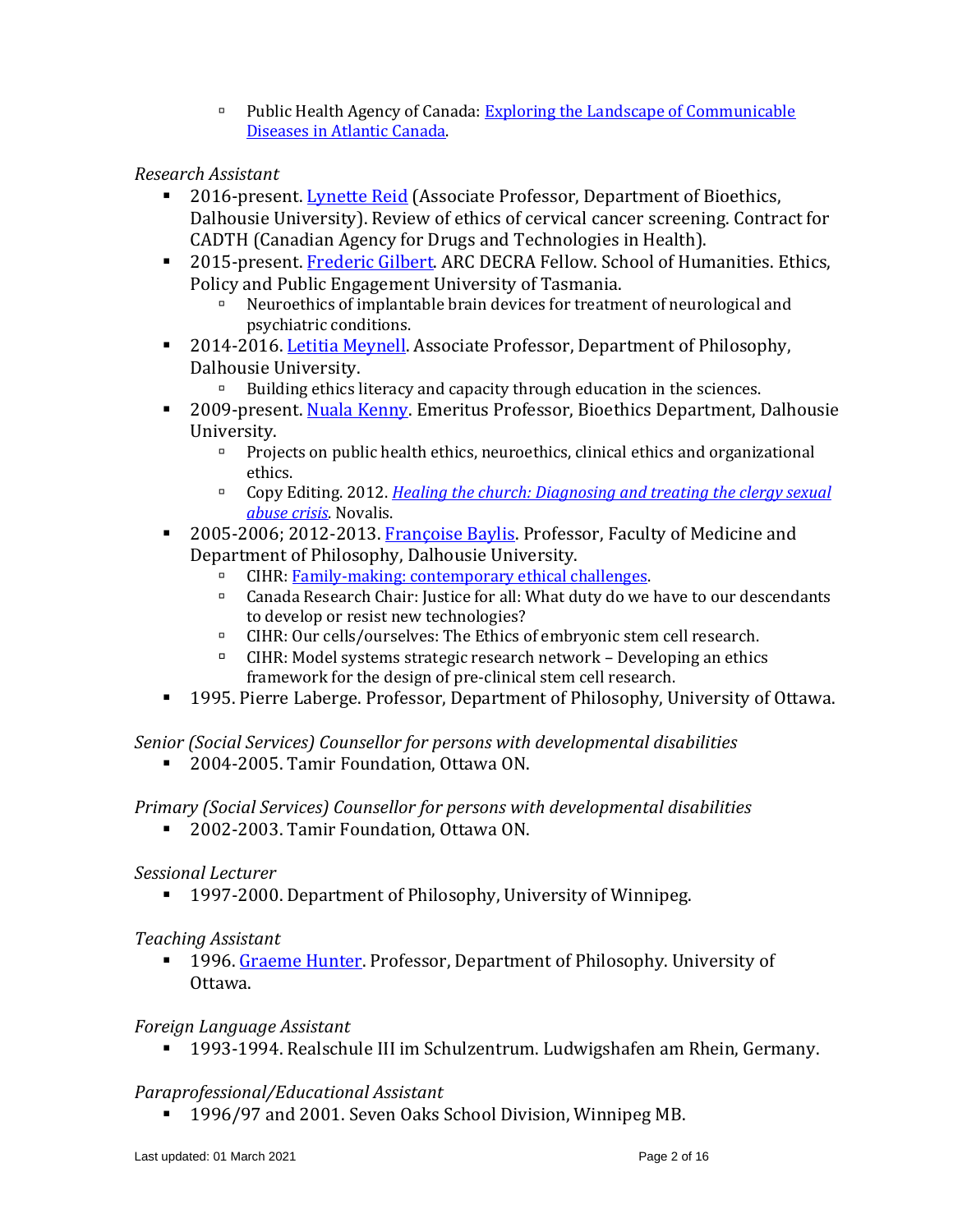Public Health Agency of Canada[: Exploring the Landscape of Communicable](http://www.med.mun.ca/Airn2012/Create-Articles/Exploring-the-Current-and-Future-Landscape-of-Co.aspx)  [Diseases in Atlantic Canada.](http://www.med.mun.ca/Airn2012/Create-Articles/Exploring-the-Current-and-Future-Landscape-of-Co.aspx)

### *Research Assistant*

- 2016-present. [Lynette Reid](https://medicine.dal.ca/departments/department-sites/bioethics/people/Lynette_Reid.html) (Associate Professor, Department of Bioethics, Dalhousie University). Review of ethics of cervical cancer screening. Contract for CADTH (Canadian Agency for Drugs and Technologies in Health).
- 2015-present. [Frederic Gilbert.](http://www.utas.edu.au/humanities/people/philosophy-profiles/frederic-gilbert) ARC DECRA Fellow. School of Humanities. Ethics, Policy and Public Engagement University of Tasmania.
	- Neuroethics of implantable brain devices for treatment of neurological and psychiatric conditions.
- 2014-2016[. Letitia Meynell.](http://www.dal.ca/faculty/arts/philosophy/FacultyandStaff/our-faculty/letitia-meynell.html) Associate Professor, Department of Philosophy, Dalhousie University.
	- $\Box$  Building ethics literacy and capacity through education in the sciences.
- 2009-present. [Nuala Kenny.](https://medicine.dal.ca/departments/department-sites/bioethics/people/nuala-kenny.html) Emeritus Professor, Bioethics Department, Dalhousie University.
	- **Projects on public health ethics, neuroethics, clinical ethics and organizational** ethics.
	- Copy Editing. 2012. *[Healing the church: Diagnosing and treating the clergy sexual](http://www.amazon.ca/dp/2896464700)  [abuse crisis](http://www.amazon.ca/dp/2896464700)*. Novalis.
- 2005-2006; 2012-2013. [Françoise Baylis.](http://www.dal.ca/sites/noveltechethics/our-people/francoise-baylis.html) Professor, Faculty of Medicine and Department of Philosophy, Dalhousie University.
	- □ CIHR: [Family-making: contemporary ethical challenges.](http://noveltechethics.ca/grants/47/team)
	- Canada Research Chair: Justice for all: What duty do we have to our descendants to develop or resist new technologies?
	- CIHR: Our cells/ourselves: The Ethics of embryonic stem cell research.
	- $\Box$  CIHR: Model systems strategic research network Developing an ethics framework for the design of pre-clinical stem cell research.
- 1995. Pierre Laberge. Professor, Department of Philosophy, University of Ottawa.

*Senior (Social Services) Counsellor for persons with developmental disabilities*

■ 2004-2005. Tamir Foundation, Ottawa ON.

#### *Primary (Social Services) Counsellor for persons with developmental disabilities*

■ 2002-2003. Tamir Foundation, Ottawa ON.

#### *Sessional Lecturer*

■ 1997-2000. Department of Philosophy, University of Winnipeg.

#### *Teaching Assistant*

1996. [Graeme Hunter.](http://www.dominicanu.ca/academics/professors/graeme-hunter) Professor, Department of Philosophy. University of Ottawa.

#### *Foreign Language Assistant*

▪ 1993-1994. Realschule III im Schulzentrum. Ludwigshafen am Rhein, Germany.

# *Paraprofessional/Educational Assistant*

▪ 1996/97 and 2001. Seven Oaks School Division, Winnipeg MB.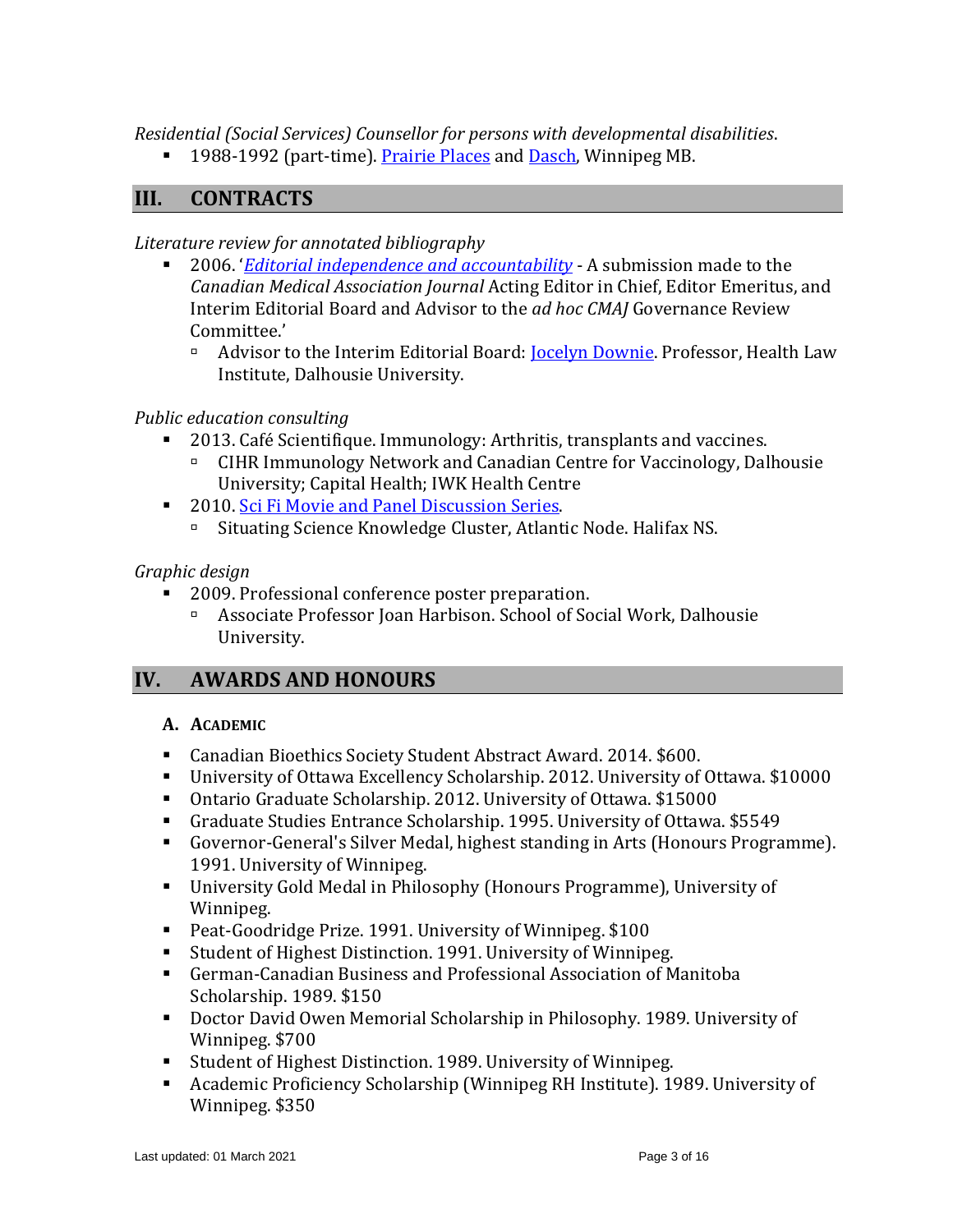*Residential (Social Services) Counsellor for persons with developmental disabilities*.

■ 1988-1992 (part-time). [Prairie Places](http://www.prairieplaces.com/index.html) and [Dasch,](https://www.dasch.mb.ca/) Winnipeg MB.

# **III. CONTRACTS**

*Literature review for annotated bibliography*

- 2006. '*[Editorial independence and](http://www.cmaj.ca/pdfs/messagefromeditor.pdf) accountability* A submission made to the *Canadian Medical Association Journal* Acting Editor in Chief, Editor Emeritus, and Interim Editorial Board and Advisor to the *ad hoc CMAJ* Governance Review Committee.'
	- <sup>n</sup> Advisor to the Interim Editorial Board: **Jocelyn Downie**. Professor, Health Law Institute, Dalhousie University.

# *Public education consulting*

- 2013. Café Scientifique. Immunology: Arthritis, transplants and vaccines.
	- CIHR Immunology Network and Canadian Centre for Vaccinology, Dalhousie University; Capital Health; IWK Health Centre
- 2010. Sci Fi Movie and [Panel Discussion Series.](http://www.situsci.ca/event/sci-fi-movie-and-panel-discussion-series)
	- Situating Science Knowledge Cluster, Atlantic Node. Halifax NS.

### *Graphic design*

- 2009. Professional conference poster preparation.
	- Associate Professor Joan Harbison. School of Social Work, Dalhousie University.

# **IV. AWARDS AND HONOURS**

#### **A. ACADEMIC**

- Canadian Bioethics Society Student Abstract Award. 2014. \$600.
- University of Ottawa Excellency Scholarship. 2012. University of Ottawa. \$10000
- Ontario Graduate Scholarship. 2012. University of Ottawa. \$15000
- Graduate Studies Entrance Scholarship. 1995. University of Ottawa. \$5549
- Governor-General's Silver Medal, highest standing in Arts (Honours Programme). 1991. University of Winnipeg.
- University Gold Medal in Philosophy (Honours Programme), University of Winnipeg.
- Peat-Goodridge Prize. 1991. University of Winnipeg. \$100
- Student of Highest Distinction. 1991. University of Winnipeg.
- German-Canadian Business and Professional Association of Manitoba Scholarship. 1989. \$150
- Doctor David Owen Memorial Scholarship in Philosophy. 1989. University of Winnipeg. \$700
- Student of Highest Distinction. 1989. University of Winnipeg.
- Academic Proficiency Scholarship (Winnipeg RH Institute). 1989. University of Winnipeg. \$350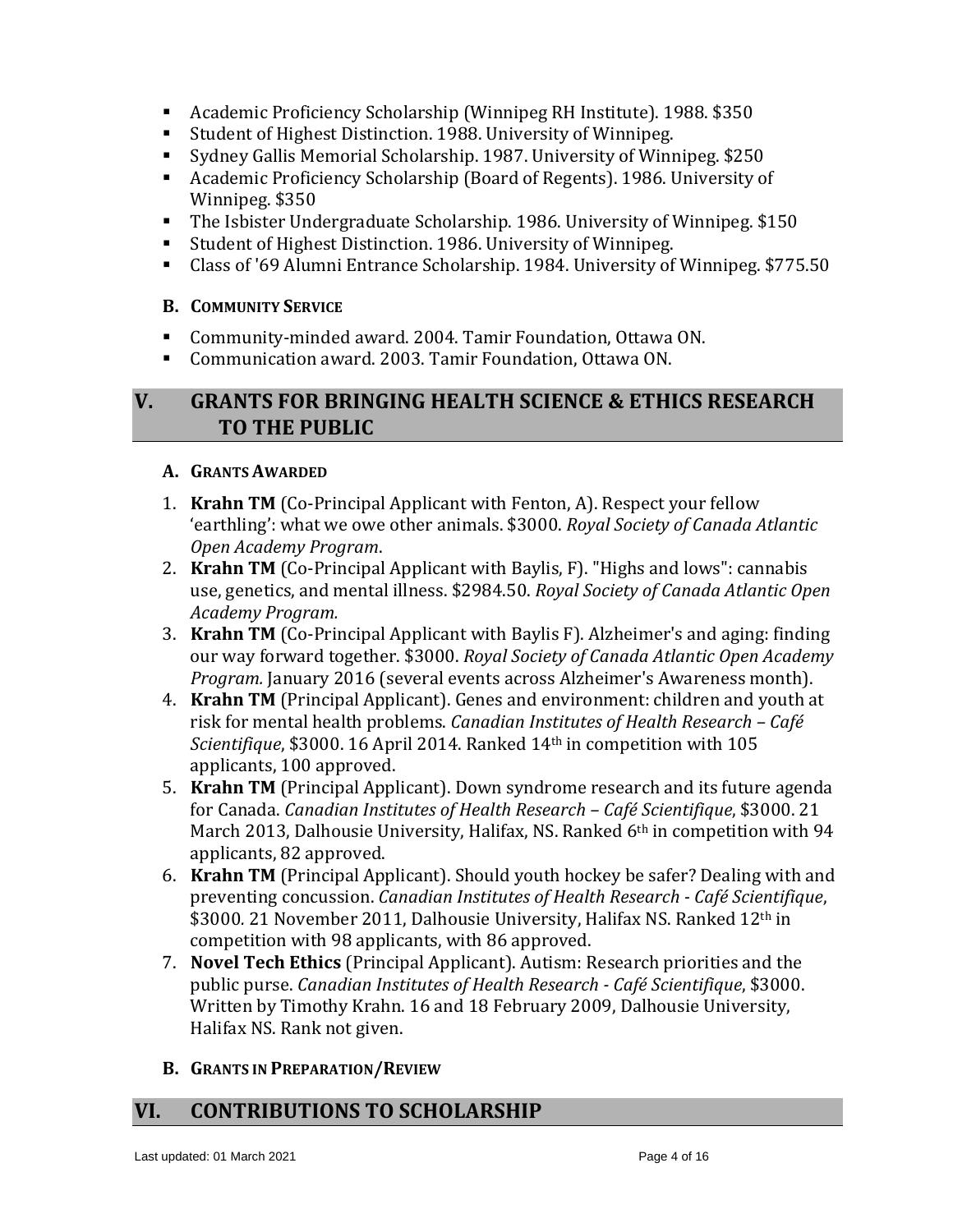- Academic Proficiency Scholarship (Winnipeg RH Institute). 1988. \$350
- Student of Highest Distinction. 1988. University of Winnipeg.
- Sydney Gallis Memorial Scholarship. 1987. University of Winnipeg. \$250
- Academic Proficiency Scholarship (Board of Regents). 1986. University of Winnipeg. \$350
- The Isbister Undergraduate Scholarship. 1986. University of Winnipeg. \$150
- Student of Highest Distinction. 1986. University of Winnipeg.
- Class of '69 Alumni Entrance Scholarship. 1984. University of Winnipeg. \$775.50

### **B. COMMUNITY SERVICE**

- Community-minded award. 2004. Tamir Foundation, Ottawa ON.
- Communication award. 2003. Tamir Foundation, Ottawa ON.

# **V. GRANTS FOR BRINGING HEALTH SCIENCE & ETHICS RESEARCH TO THE PUBLIC**

### **A. GRANTS AWARDED**

- 1. **Krahn TM** (Co-Principal Applicant with Fenton, A). Respect your fellow 'earthling': what we owe other animals. \$3000. *Royal Society of Canada Atlantic Open Academy Program*.
- 2. **Krahn TM** (Co-Principal Applicant with Baylis, F). "Highs and lows": cannabis use, genetics, and mental illness. \$2984.50. *Royal Society of Canada Atlantic Open Academy Program.*
- 3. **Krahn TM** (Co-Principal Applicant with Baylis F). Alzheimer's and aging: finding our way forward together. \$3000. *Royal Society of Canada Atlantic Open Academy Program.* January 2016 (several events across Alzheimer's Awareness month).
- 4. **Krahn TM** (Principal Applicant). Genes and environment: children and youth at risk for mental health problems. *Canadian Institutes of Health Research – Café Scientifique*, \$3000. 16 April 2014. Ranked 14th in competition with 105 applicants, 100 approved.
- 5. **Krahn TM** (Principal Applicant). Down syndrome research and its future agenda for Canada. *Canadian Institutes of Health Research – Café Scientifique*, \$3000. 21 March 2013, Dalhousie University, Halifax, NS. Ranked 6<sup>th</sup> in competition with 94 applicants, 82 approved.
- 6. **Krahn TM** (Principal Applicant). Should youth hockey be safer? Dealing with and preventing concussion. *Canadian Institutes of Health Research - Café Scientifique*, \$3000. 21 November 2011, Dalhousie University, Halifax NS. Ranked 12<sup>th</sup> in competition with 98 applicants, with 86 approved.
- 7. **Novel Tech Ethics** (Principal Applicant). Autism: Research priorities and the public purse. *Canadian Institutes of Health Research - Café Scientifique*, \$3000. Written by Timothy Krahn. 16 and 18 February 2009, Dalhousie University, Halifax NS. Rank not given.
- **B. GRANTS IN PREPARATION/REVIEW**

# **VI. CONTRIBUTIONS TO SCHOLARSHIP**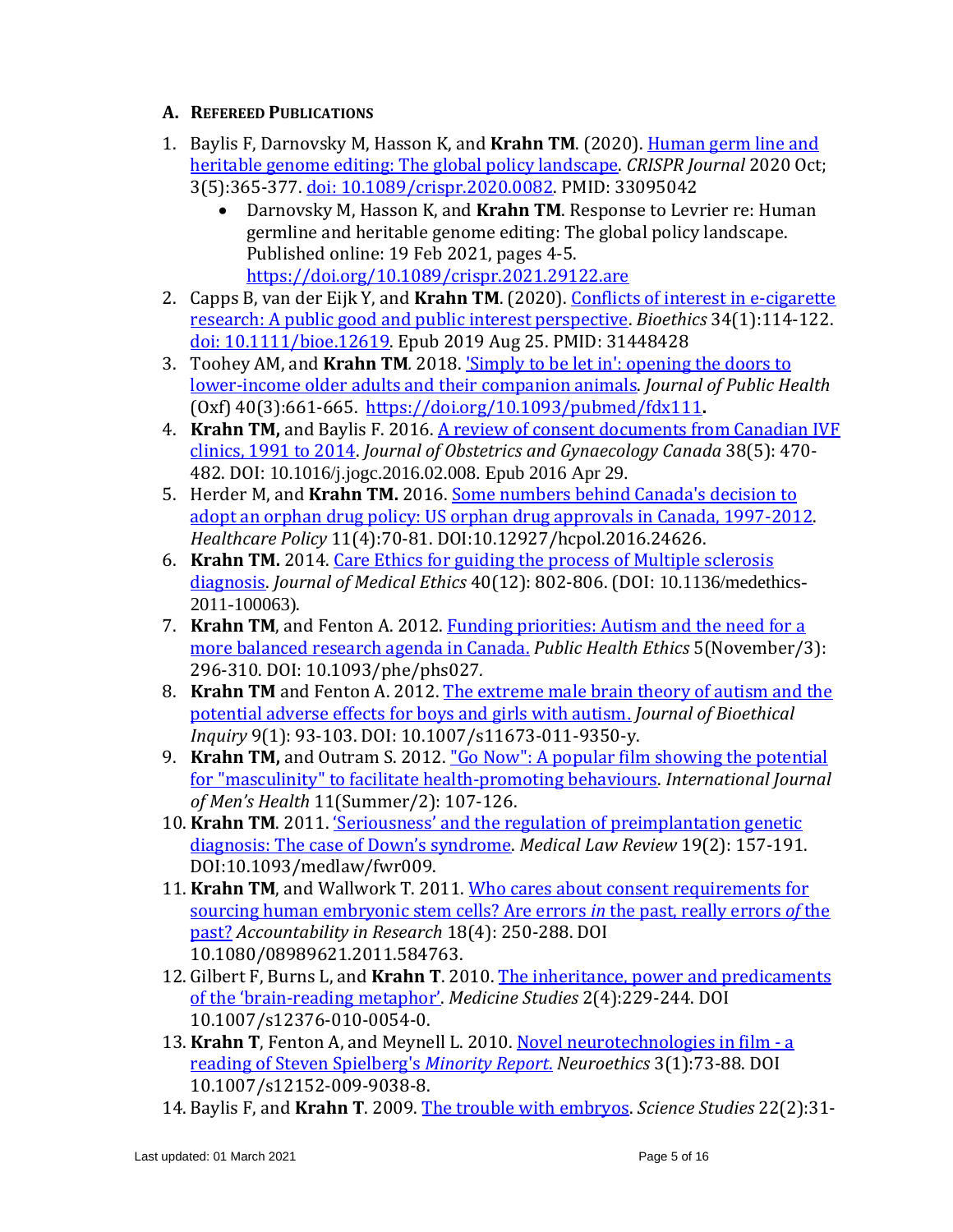### **A. REFEREED PUBLICATIONS**

- 1. Baylis F, Darnovsky M, Hasson K, and **Krahn TM**. (2020). [Human germ line and](https://www.liebertpub.com/doi/10.1089/crispr.2020.0082)  [heritable genome editing: The global policy landscape.](https://www.liebertpub.com/doi/10.1089/crispr.2020.0082) *CRISPR Journal* 2020 Oct; 3(5):365-377. [doi: 10.1089/crispr.2020.0082.](https://doi.org/10.1089/crispr.2020.0082) PMID: 33095042
	- Darnovsky M, Hasson K, and **Krahn TM**. Response to Levrier re: Human germline and heritable genome editing: The global policy landscape. Published online: 19 Feb 2021, pages 4-5. <https://doi.org/10.1089/crispr.2021.29122.are>
- 2. Capps B, van der Eijk Y, and **Krahn TM**. (2020). [Conflicts of interest in e-cigarette](https://pubmed.ncbi.nlm.nih.gov/31448428/)  [research: A public good and public interest perspective.](https://pubmed.ncbi.nlm.nih.gov/31448428/) *Bioethics* 34(1):114-122. [doi: 10.1111/bioe.12619.](https://doi.org/10.1111/bioe.12619) Epub 2019 Aug 25. PMID: 31448428
- 3. Toohey AM, and **Krahn TM***.* 2018. ['Simply to be let in': opening the doors to](https://academic.oup.com/jpubhealth/article-abstract/doi/10.1093/pubmed/fdx111/4110317/Simply-to-be-let-in-opening-the-doors-to-lower)  [lower-income older adults and their companion animals.](https://academic.oup.com/jpubhealth/article-abstract/doi/10.1093/pubmed/fdx111/4110317/Simply-to-be-let-in-opening-the-doors-to-lower) *Journal of Public Health* (Oxf) 40(3):661-665. <https://doi.org/10.1093/pubmed/fdx111>**.**
- 4. **Krahn TM,** and Baylis F. 2016. A review of [consent documents from Canadian IVF](http://www.ncbi.nlm.nih.gov/pubmed/27261224)  [clinics, 1991 to 2014.](http://www.ncbi.nlm.nih.gov/pubmed/27261224) *Journal of Obstetrics and Gynaecology Canada* 38(5): 470- 482. DOI: 10.1016/j.jogc.2016.02.008. Epub 2016 Apr 29.
- 5. Herder M, and **Krahn TM.** 2016. [Some numbers behind Canada's decision to](https://pubmed.ncbi.nlm.nih.gov/27232238/)  [adopt an orphan drug policy: US orphan drug approvals in Canada, 1997-2012.](https://pubmed.ncbi.nlm.nih.gov/27232238/)  *Healthcare Policy* 11(4):70-81. DOI:10.12927/hcpol.2016.24626.
- 6. **Krahn TM.** 2014. [Care Ethics for guiding the process of Multiple sclerosis](http://www.ncbi.nlm.nih.gov/pubmed/24222532)  [diagnosis.](http://www.ncbi.nlm.nih.gov/pubmed/24222532) *Journal of Medical Ethics* 40(12): 802-806. (DOI: 10.1136/medethics-2011-100063).
- 7. **Krahn TM**, and Fenton A. 2012. [Funding priorities: Autism and the need for a](http://phe.oxfordjournals.org/content/5/3/296.full)  [more balanced research agenda in Canada.](http://phe.oxfordjournals.org/content/5/3/296.full) *Public Health Ethics* 5(November/3): 296-310. DOI: 10.1093/phe/phs027*.*
- 8. **Krahn TM** and Fenton A. 2012. [The extreme male brain theory of autism and the](http://www.springerlink.com/content/2p1l35376262727k/)  [potential adverse effects for boys and girls with autism](http://www.springerlink.com/content/2p1l35376262727k/). *Journal of Bioethical Inquiry* 9(1): 93-103. DOI: 10.1007/s11673-011-9350-y.
- 9. **Krahn TM,** and Outram S. 2012. "Go Now": A [popular film showing](http://www.mensstudies.info/OJS/index.php/IJMH/article/download/629/pdf_200) the potential for "masculinity" [to facilitate health-promoting behaviours.](http://www.mensstudies.info/OJS/index.php/IJMH/article/download/629/pdf_200) *International Journal of Men's Health* 11(Summer/2): 107-126.
- 10. **Krahn TM**. 2011. ['Seriousness' and the regulation of preimplantation genetic](http://medlaw.oxfordjournals.org/content/19/2/157.extract?sid=316660db-1bff-4240-93e9-359ec4d34c0b)  [diagnosis: The case of Down's syndrome](http://medlaw.oxfordjournals.org/content/19/2/157.extract?sid=316660db-1bff-4240-93e9-359ec4d34c0b). *Medical Law Review* 19(2): 157-191. DOI:10.1093/medlaw/fwr009.
- 11. **Krahn TM**, and Wallwork T. 2011. [Who cares about consent requirements for](http://www.tandfonline.com/doi/full/10.1080/08989621.2011.584763)  [sourcing human embryonic stem cells? Are errors](http://www.tandfonline.com/doi/full/10.1080/08989621.2011.584763) *in* the past, really errors *of* the [past?](http://www.tandfonline.com/doi/full/10.1080/08989621.2011.584763) *Accountability in Research* 18(4): 250-288. DOI 10.1080/08989621.2011.584763.
- 12. Gilbert F, Burns L, and **Krahn T**. 2010. [The inheritance, power and predicaments](http://www.springerlink.com/content/4h640m347728253n/)  of the 'brain-[reading metaphor'](http://www.springerlink.com/content/4h640m347728253n/). *Medicine Studies* 2(4):229-244. DOI 10.1007/s12376-010-0054-0.
- 13. **Krahn T**, Fenton A, and Meynell L. 2010. [Novel neurotechnologies in film -](https://link.springer.com/article/10.1007/s12152-009-9038-8) a [reading of Steven Spielberg's](https://link.springer.com/article/10.1007/s12152-009-9038-8) *Minority Report*. *Neuroethics* 3(1):73-88. DOI 10.1007/s12152-009-9038-8.
- 14. Baylis F, and **Krahn T**. 2009. [The trouble with embryos.](http://www.sciencetechnologystudies.org/node/1952) *Science Studies* 22(2):31-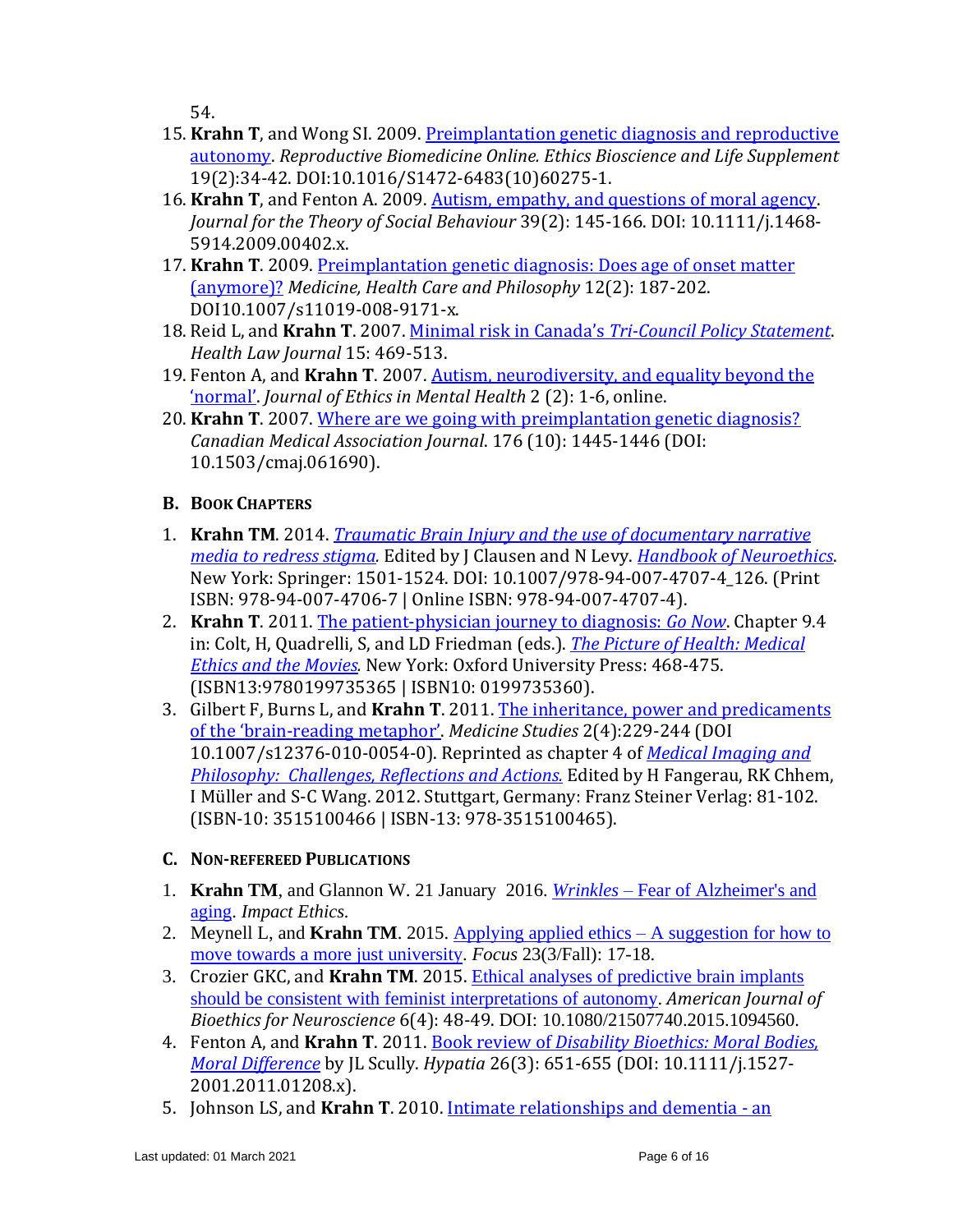54.

- 15. **Krahn T**, and Wong SI. 2009. [Preimplantation genetic diagnosis and reproductive](http://www.sciencedirect.com/science?_ob=ArticleURL&_udi=B986R-500S749-5&_user=1069263&_coverDate=12%2F31%2F2009&_rdoc=1&_fmt=high&_orig=search&_origin=search&_sort=d&_docanchor=&view=c&_acct=C000051270&_version=1&_urlVersion=0&_userid=1069263&md5=9ec8b0be)  [autonomy.](http://www.sciencedirect.com/science?_ob=ArticleURL&_udi=B986R-500S749-5&_user=1069263&_coverDate=12%2F31%2F2009&_rdoc=1&_fmt=high&_orig=search&_origin=search&_sort=d&_docanchor=&view=c&_acct=C000051270&_version=1&_urlVersion=0&_userid=1069263&md5=9ec8b0be) *Reproductive Biomedicine Online. Ethics Bioscience and Life Supplement*  19(2):34-42. DOI:10.1016/S1472-6483(10)60275-1.
- 16. **Krahn T**, and Fenton A. 2009. [Autism, empathy, and questions](http://onlinelibrary.wiley.com/doi/10.1111/j.1468-5914.2009.00402.x/full) of moral agency. *Journal for the Theory of Social Behaviour* 39(2): 145-166. DOI: 10.1111/j.1468- 5914.2009.00402.x.
- 17. **Krahn T**. 2009. [Preimplantation genetic diagnosis: Does age of onset matter](http://www.springerlink.com/content/v7182w7692v8mk65/)  [\(anymore\)?](http://www.springerlink.com/content/v7182w7692v8mk65/) *Medicine, Health Care and Philosophy* 12(2): 187-202. DOI10.1007/s11019-008-9171-x.
- 18. Reid L, and **Krahn T**. 2007. Minimal risk in Canada's *[Tri-Council Policy Statement](http://www.ncbi.nlm.nih.gov/pubmed/19702190)*. *Health Law Journal* 15: 469-513.
- 19. Fenton A, and **Krahn T**. 2007. [Autism, neurodiversity, and equality beyond the](http://www.jemh.ca/issues/v2n2/documents/JEMH_V2N2_Theme_Article2_Neurodiversity_Autism.pdf)  ['normal'](http://www.jemh.ca/issues/v2n2/documents/JEMH_V2N2_Theme_Article2_Neurodiversity_Autism.pdf). *Journal of Ethics in Mental Health* 2 (2): 1-6, online.
- 20. **Krahn T**. 2007. [Where are we going with preimplantation genetic diagnosis?](http://www.cmaj.ca/content/176/10/1445.full) *Canadian Medical Association Journal*. 176 (10): 1445-1446 (DOI: 10.1503/cmaj.061690).

# **B. BOOK CHAPTERS**

- 1. **Krahn TM**. 2014. *[Traumatic Brain Injury and the use of documentary narrative](http://link.springer.com/referenceworkentry/10.1007/978-94-007-4707-4_126)  [media to redress stigma.](http://link.springer.com/referenceworkentry/10.1007/978-94-007-4707-4_126)* Edited by J Clausen and N Levy. *[Handbook of Neuroethics](http://www.springer.com/social+sciences/applied+ethics/book/978-94-007-4706-7)*. New York: Springer: 1501-1524. DOI: 10.1007/978-94-007-4707-4\_126. (Print ISBN: 978-94-007-4706-7 | Online ISBN: 978-94-007-4707-4).
- 2. **Krahn T**. 2011. [The patient-physician journey to diagnosis:](https://www.researchgate.net/publication/283106724_The_patient-physician_journey_to_diagnosis_Go_now) *Go Now*. Chapter 9.4 in: Colt, H, Quadrelli, S, and LD Friedman (eds.). *[The Picture of Health: Medical](https://books.google.ca/books?id=UAyV-VweXhkC&printsec=frontcover&source=gbs_ge_summary_r&cad=0#v=onepage&q&f=false)  [Ethics and the Movies.](https://books.google.ca/books?id=UAyV-VweXhkC&printsec=frontcover&source=gbs_ge_summary_r&cad=0#v=onepage&q&f=false)* New York: Oxford University Press: 468-475. (ISBN13:9780199735365 | ISBN10: 0199735360).
- 3. Gilbert F, Burns L, and **Krahn T**. 2011. [The inheritance, power and predicaments](http://www.springerlink.com/content/4h640m347728253n/)  of the 'brain-[reading metaphor'](http://www.springerlink.com/content/4h640m347728253n/). *Medicine Studies* 2(4):229-244 (DOI 10.1007/s12376-010-0054-0). Reprinted as chapter 4 of *[Medical Imaging](http://www.steiner-verlag.de/titel/59027.html) and [Philosophy: Challenges, Reflections and Actions.](http://www.steiner-verlag.de/titel/59027.html)* Edited by H Fangerau, RK Chhem, I Müller and S-C Wang. 2012. Stuttgart, Germany: Franz Steiner Verlag: 81-102. (ISBN-10: 3515100466 | ISBN-13: 978-3515100465).

# **C. NON-REFEREED PUBLICATIONS**

- 1. **Krahn TM**, and Glannon W. 21 January 2016. *Wrinkles* [Fear of Alzheimer's and](https://impactethics.ca/2016/01/21/wrinkles-fear-of-alzheimers-and-aging/)  [aging.](https://impactethics.ca/2016/01/21/wrinkles-fear-of-alzheimers-and-aging/) *Impact Ethics.*
- 2. Meynell L, and **Krahn TM**. 2015. [Applying applied ethics –](http://www.dal.ca/content/dam/dalhousie/pdf/sites/noveltechethics/nte-Meynell%20&%20Krahn_Applying%20Applied%20Ethics.pdf) A suggestion for how to [move towards a more just university.](http://www.dal.ca/content/dam/dalhousie/pdf/sites/noveltechethics/nte-Meynell%20&%20Krahn_Applying%20Applied%20Ethics.pdf) *Focus* 23(3/Fall): 17-18.
- 3. Crozier GKC, and **Krahn TM**. 2015. [Ethical analyses of predictive brain implants](http://www.tandfonline.com/doi/abs/10.1080/21507740.2015.1094560)  [should be consistent with feminist interpretations of autonomy.](http://www.tandfonline.com/doi/abs/10.1080/21507740.2015.1094560) *American Journal of Bioethics for Neuroscience* 6(4): 48-49. DOI: 10.1080/21507740.2015.1094560.
- 4. Fenton A, and **Krahn T**. 2011. Book review of *[Disability Bioethics: Moral Bodies,](http://onlinelibrary.wiley.com/doi/10.1111/j.1527-2001.2011.01208.x/abstract)  [Moral Difference](http://onlinelibrary.wiley.com/doi/10.1111/j.1527-2001.2011.01208.x/abstract)* by JL Scully. *Hypatia* 26(3): 651-655 (DOI: 10.1111/j.1527- 2001.2011.01208.x).
- 5. Johnson LS, and **Krahn T**. 2010. [Intimate relationships and dementia](http://www.jemh.ca/issues/v5n1/documents/JEMH_Vol5_No1_Film_Review_Away_From_Her.pdf) an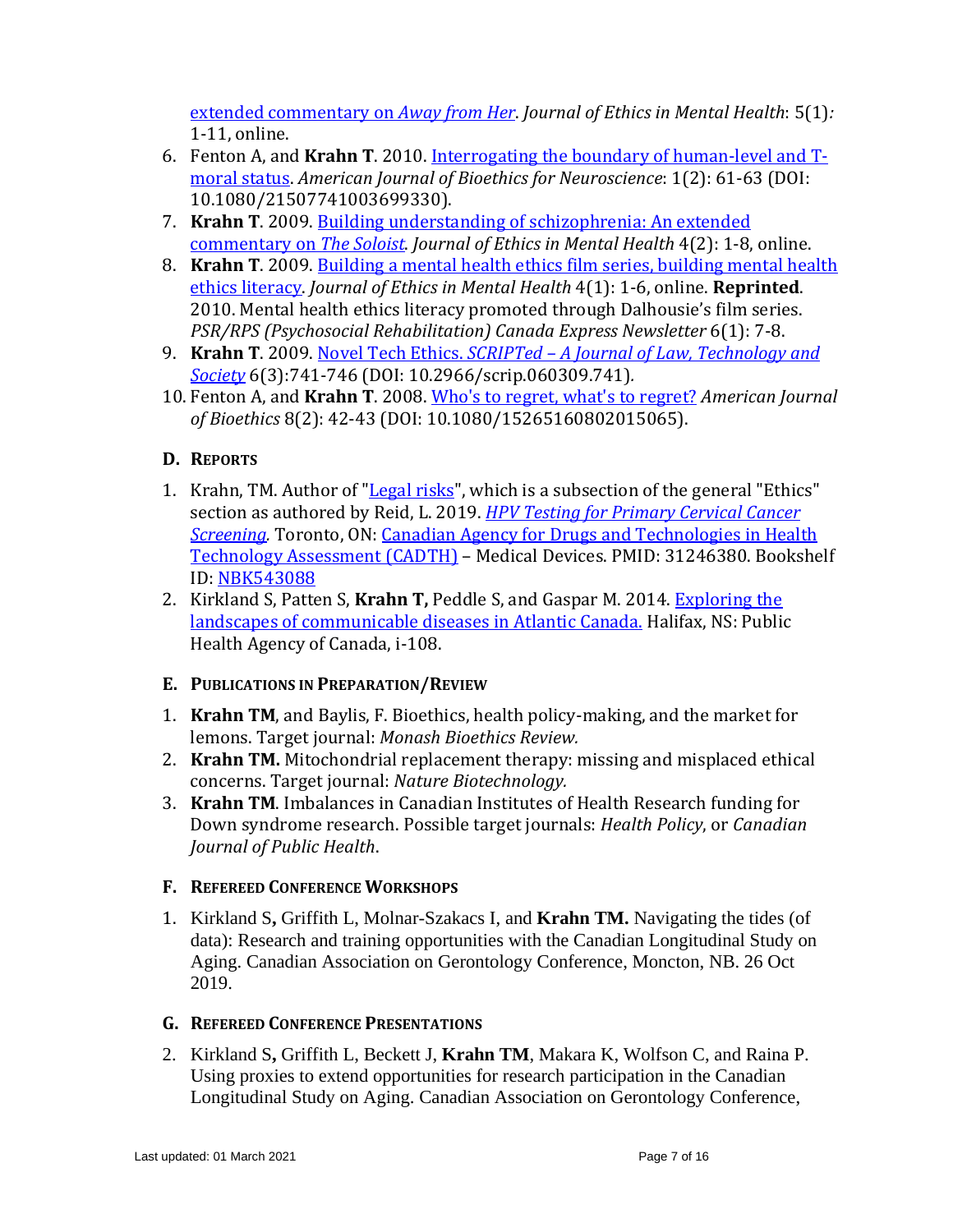[extended commentary on](http://www.jemh.ca/issues/v5n1/documents/JEMH_Vol5_No1_Film_Review_Away_From_Her.pdf) *Away from Her*. *Journal of Ethics in Mental Health*: 5(1)*:*  1-11, online.

- 6. Fenton A, and **Krahn T**. 2010. [Interrogating the boundary of human-level and T](http://www.tandfonline.com/doi/pdf/10.1080/21507741003699330)[moral status.](http://www.tandfonline.com/doi/pdf/10.1080/21507741003699330) *American Journal of Bioethics for Neuroscience*: 1(2): 61-63 (DOI: 10.1080/21507741003699330).
- 7. **Krahn T**. 2009. [Building understanding of schizophrenia: An extended](http://www.jemh.ca/issues/v4n2/documents/JEMH_Vol4_No2_Film_Reviews_Building_Understanding_of_Schizophrenia_Extended_Commentary_on_Th.pdf)  [commentary on](http://www.jemh.ca/issues/v4n2/documents/JEMH_Vol4_No2_Film_Reviews_Building_Understanding_of_Schizophrenia_Extended_Commentary_on_Th.pdf) *The Soloist*. *Journal of Ethics in Mental Health* 4(2): 1-8, online.
- 8. **Krahn T**. 2009. [Building a mental health ethics film series, building mental health](http://www.jemh.ca/issues/v4n1/documents/JEMH_Vol4_No1_Book_MediaReviews_Building_Mental_Health_Ethics_Film_Series_Apr09.pdf)  [ethics literacy.](http://www.jemh.ca/issues/v4n1/documents/JEMH_Vol4_No1_Book_MediaReviews_Building_Mental_Health_Ethics_Film_Series_Apr09.pdf) *Journal of Ethics in Mental Health* 4(1): 1-6, online. **Reprinted**. 2010. Mental health ethics literacy promoted through Dalhousie's film series. *PSR/RPS (Psychosocial Rehabilitation) Canada Express Newsletter* 6(1): 7-8.
- 9. **Krahn T**. 2009. Novel Tech Ethics. *SCRIPTed – [A Journal of Law, Technology and](https://script-ed.org/archive/volume-6/issue-63-534-775/) [Society](https://script-ed.org/archive/volume-6/issue-63-534-775/)* 6(3):741-746 (DOI: 10.2966/scrip.060309.741)*.*
- 10. Fenton A, and **Krahn T**. 2008. [Who's to regret, what's to regret?](http://www.informaworld.com/smpp/content~db=all?content=10.1080/15265160802015065) *American Journal of Bioethics* 8(2): 42-43 (DOI: 10.1080/15265160802015065).

# **D. REPORTS**

- 1. Krahn, TM. Author of ["Legal risks"](https://www.ncbi.nlm.nih.gov/books/NBK543092/), which is a subsection of the general "Ethics" section as authored by Reid, L. 2019. *[HPV Testing for Primary Cervical Cancer](https://pubmed.ncbi.nlm.nih.gov/31246380/)*  **Screening.** Toronto, ON: Canadian Agency for Drugs and Technologies in Health [Technology Assessment](https://www.cadth.ca/) (CADTH) – Medical Devices. PMID: 31246380. Bookshelf ID: [NBK543088](http://www.ncbi.nlm.nih.gov/books/nbk543088/)
- 2. Kirkland S, Patten S, **Krahn T,** Peddle S, and Gaspar M. 2014[. Exploring the](http://www.med.mun.ca/Airn2012/Create-Articles/-Exploring-the-Current-and-Future-Landscape-of--Co.aspx)  [landscapes of communicable diseases in Atlantic Canada.](http://www.med.mun.ca/Airn2012/Create-Articles/-Exploring-the-Current-and-Future-Landscape-of--Co.aspx) Halifax, NS: Public Health Agency of Canada, i-108.

# **E. PUBLICATIONS IN PREPARATION/REVIEW**

- 1. **Krahn TM**, and Baylis, F. Bioethics, health policy-making, and the market for lemons. Target journal: *Monash Bioethics Review.*
- 2. **Krahn TM.** Mitochondrial replacement therapy: missing and misplaced ethical concerns. Target journal: *Nature Biotechnology.*
- 3. **Krahn TM**. Imbalances in Canadian Institutes of Health Research funding for Down syndrome research. Possible target journals: *Health Policy*, or *Canadian Journal of Public Health*.

# **F. REFEREED CONFERENCE WORKSHOPS**

1. Kirkland S**,** Griffith L, Molnar-Szakacs I, and **Krahn TM.** Navigating the tides (of data): Research and training opportunities with the Canadian Longitudinal Study on Aging. Canadian Association on Gerontology Conference, Moncton, NB. 26 Oct 2019.

# **G. REFEREED CONFERENCE PRESENTATIONS**

2. Kirkland S**,** Griffith L, Beckett J, **Krahn TM**, Makara K, Wolfson C, and Raina P. Using proxies to extend opportunities for research participation in the Canadian Longitudinal Study on Aging. Canadian Association on Gerontology Conference,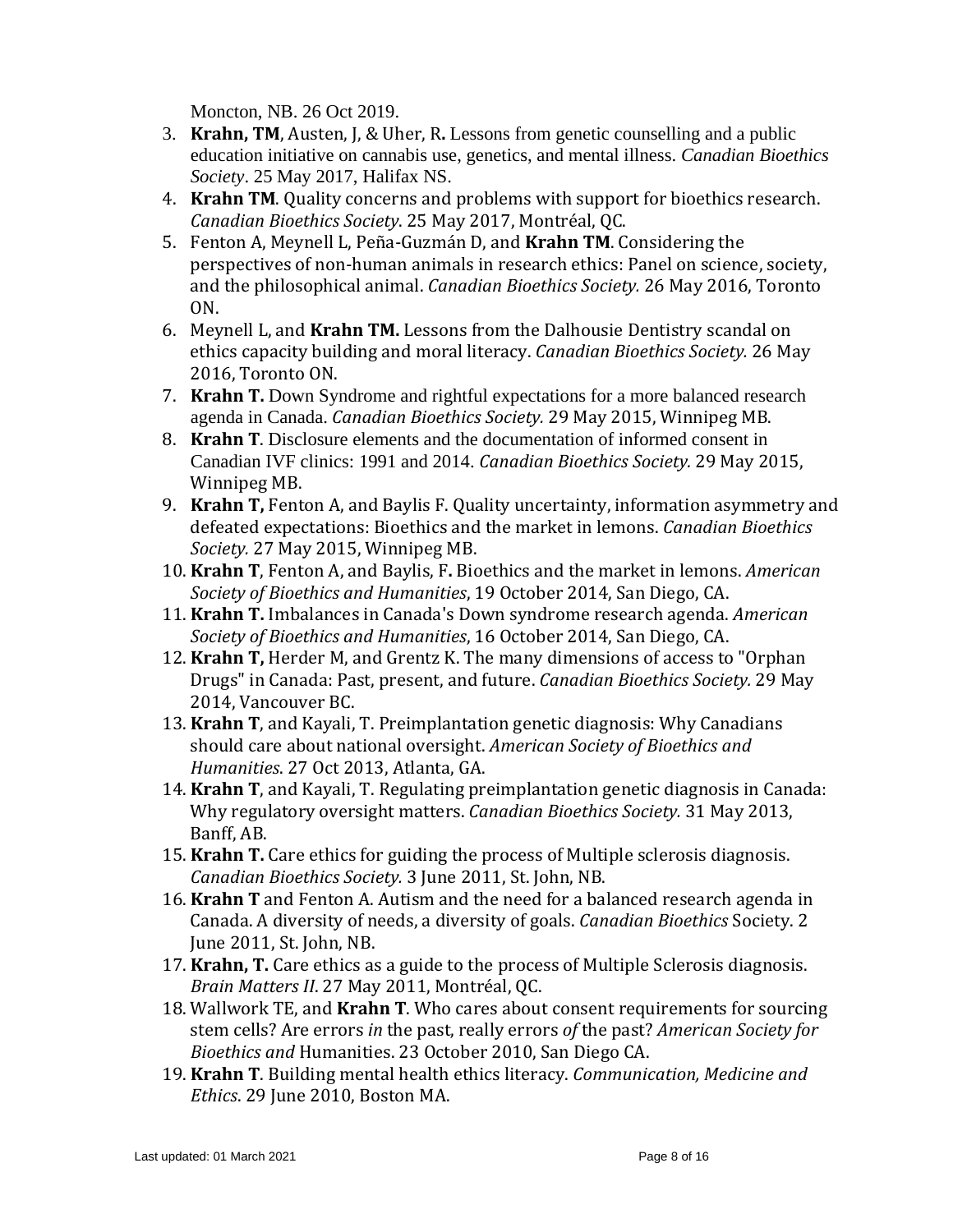Moncton, NB. 26 Oct 2019.

- 3. **Krahn, TM**, Austen, J, & Uher, R**.** Lessons from genetic counselling and a public education initiative on cannabis use, genetics, and mental illness. *Canadian Bioethics Society*. 25 May 2017, Halifax NS.
- 4. **Krahn TM**. Quality concerns and problems with support for bioethics research. *Canadian Bioethics Society*. 25 May 2017, Montréal, QC.
- 5. Fenton A, Meynell L, Peña-Guzmán D, and **Krahn TM**. Considering the perspectives of non-human animals in research ethics: Panel on science, society, and the philosophical animal. *Canadian Bioethics Society.* 26 May 2016, Toronto ON.
- 6. Meynell L, and **Krahn TM.** Lessons from the Dalhousie Dentistry scandal on ethics capacity building and moral literacy. *Canadian Bioethics Society.* 26 May 2016, Toronto ON.
- 7. **Krahn T.** Down Syndrome and rightful expectations for a more balanced research agenda in Canada. *Canadian Bioethics Society.* 29 May 2015, Winnipeg MB.
- 8. **Krahn T**. Disclosure elements and the documentation of informed consent in Canadian IVF clinics: 1991 and 2014. *Canadian Bioethics Society.* 29 May 2015, Winnipeg MB.
- 9. **Krahn T,** Fenton A, and Baylis F. Quality uncertainty, information asymmetry and defeated expectations: Bioethics and the market in lemons. *Canadian Bioethics Society.* 27 May 2015, Winnipeg MB.
- 10. **Krahn T**, Fenton A, and Baylis, F**.** Bioethics and the market in lemons. *American Society of Bioethics and Humanities*, 19 October 2014, San Diego, CA.
- 11. **Krahn T.** Imbalances in Canada's Down syndrome research agenda. *American Society of Bioethics and Humanities*, 16 October 2014, San Diego, CA.
- 12. **Krahn T,** Herder M, and Grentz K. The many dimensions of access to "Orphan Drugs" in Canada: Past, present, and future. *Canadian Bioethics Society.* 29 May 2014, Vancouver BC.
- 13. **Krahn T**, and Kayali, T. Preimplantation genetic diagnosis: Why Canadians should care about national oversight. *American Society of Bioethics and Humanities*. 27 Oct 2013, Atlanta, GA.
- 14. **Krahn T**, and Kayali, T. Regulating preimplantation genetic diagnosis in Canada: Why regulatory oversight matters. *Canadian Bioethics Society.* 31 May 2013, Banff, AB.
- 15. **Krahn T.** Care ethics for guiding the process of Multiple sclerosis diagnosis. *Canadian Bioethics Society.* 3 June 2011, St. John, NB.
- 16. **Krahn T** and Fenton A. Autism and the need for a balanced research agenda in Canada. A diversity of needs, a diversity of goals. *Canadian Bioethics* Society. 2 June 2011, St. John, NB.
- 17. **Krahn, T.** Care ethics as a guide to the process of Multiple Sclerosis diagnosis. *Brain Matters II*. 27 May 2011, Montréal, QC.
- 18. Wallwork TE, and **Krahn T**. Who cares about consent requirements for sourcing stem cells? Are errors *in* the past, really errors *of* the past? *American Society for Bioethics and* Humanities. 23 October 2010, San Diego CA.
- 19. **Krahn T**. Building mental health ethics literacy. *Communication, Medicine and Ethics*. 29 June 2010, Boston MA.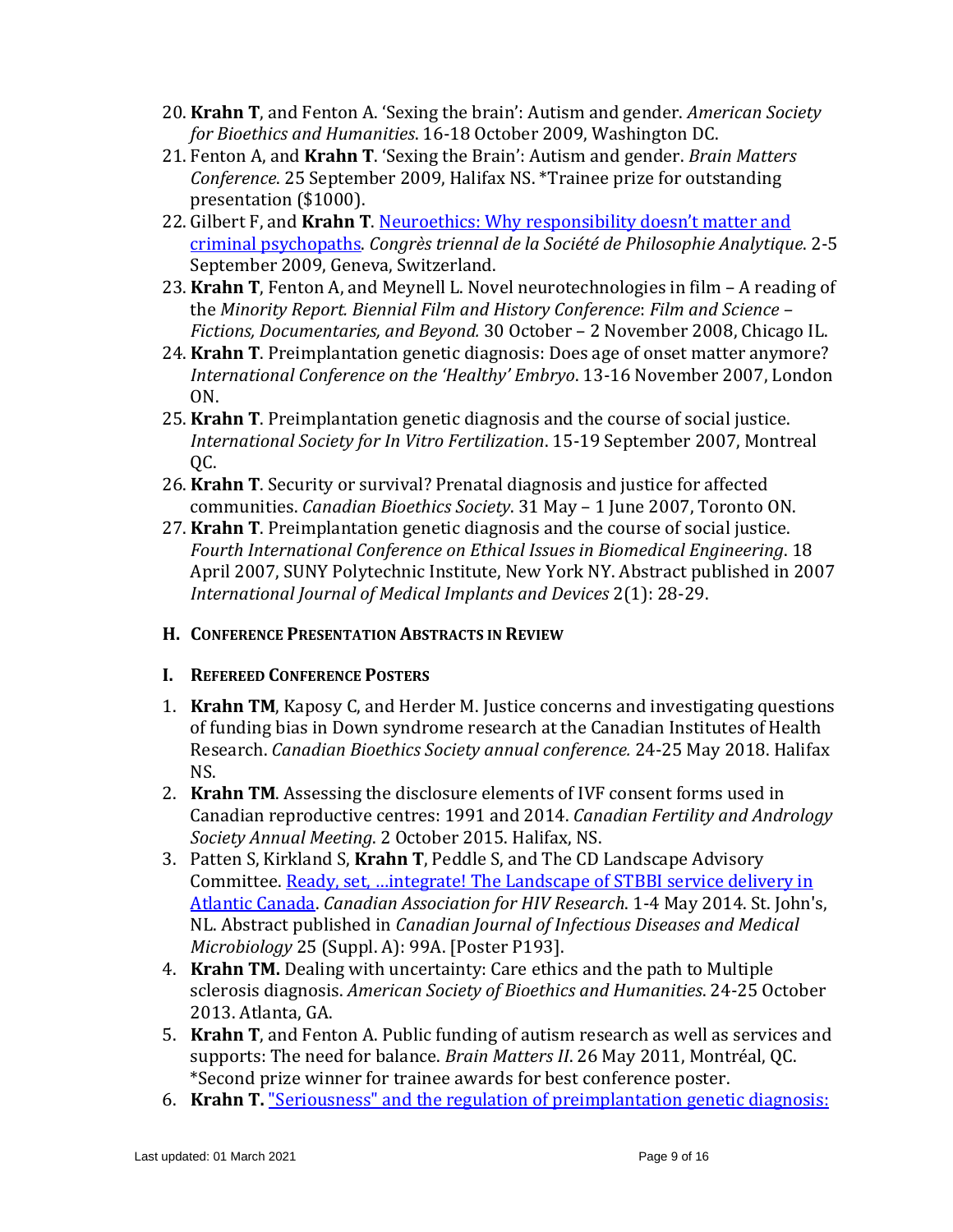- 20. **Krahn T**, and Fenton A. 'Sexing the brain': Autism and gender. *American Society for Bioethics and Humanities*. 16-18 October 2009, Washington DC.
- 21. Fenton A, and **Krahn T**. 'Sexing the Brain': Autism and gender. *Brain Matters Conference*. 25 September 2009, Halifax NS. \*Trainee prize for outstanding presentation (\$1000).
- 22. Gilbert F, and **Krahn T**. [Neuroethics: Why responsibility doesn't matter and](http://philosophie.ch/sopha2009/?p=39)  [criminal psychopaths.](http://philosophie.ch/sopha2009/?p=39) *Congrès triennal de la Société de Philosophie Analytique*. 2-5 September 2009, Geneva, Switzerland.
- 23. **Krahn T**, Fenton A, and Meynell L. Novel neurotechnologies in film A reading of the *Minority Report. Biennial Film and History Conference*: *Film and Science – Fictions, Documentaries, and Beyond.* 30 October – 2 November 2008, Chicago IL.
- 24. **Krahn T**. Preimplantation genetic diagnosis: Does age of onset matter anymore? *International Conference on the 'Healthy' Embryo*. 13-16 November 2007, London ON.
- 25. **Krahn T**. Preimplantation genetic diagnosis and the course of social justice. *International Society for In Vitro Fertilization*. 15-19 September 2007, Montreal QC.
- 26. **Krahn T**. Security or survival? Prenatal diagnosis and justice for affected communities. *Canadian Bioethics Society*. 31 May – 1 June 2007, Toronto ON.
- 27. **Krahn T**. Preimplantation genetic diagnosis and the course of social justice. *Fourth International Conference on Ethical Issues in Biomedical Engineering*. 18 April 2007, SUNY Polytechnic Institute, New York NY. Abstract published in 2007 *International Journal of Medical Implants and Devices* 2(1): 28-29.
- **H. CONFERENCE PRESENTATION ABSTRACTS IN REVIEW**

#### **I. REFEREED CONFERENCE POSTERS**

- 1. **Krahn TM**, Kaposy C, and Herder M. Justice concerns and investigating questions of funding bias in Down syndrome research at the Canadian Institutes of Health Research. *Canadian Bioethics Society annual conference.* 24-25 May 2018. Halifax NS.
- 2. **Krahn TM**. Assessing the disclosure elements of IVF consent forms used in Canadian reproductive centres: 1991 and 2014. *Canadian Fertility and Andrology Society Annual Meeting*. 2 October 2015. Halifax, NS.
- 3. Patten S, Kirkland S, **Krahn T**, Peddle S, and The CD Landscape Advisory Committee. [Ready, set, …integrate! The Landscape of](http://www.google.ca/url?sa=t&rct=j&q=&esrc=s&source=web&cd=4&ved=0CC8QFjAD&url=http%3A%2F%2Fwww.cahr-acrv.ca%2Fcontent%2Fuploads%2F2012%2F10%2FCAHR-2014-Abstract-Book.pdf&ei=5Ij2U4P_Nc-fyATR4IG4BA&usg=AFQjCNEIFLdqOHthbnwAR2PMDbvfok8G1w&bvm=bv.73373277,d.aWw&cad=rja) STBBI service delivery in [Atlantic Canada.](http://www.google.ca/url?sa=t&rct=j&q=&esrc=s&source=web&cd=4&ved=0CC8QFjAD&url=http%3A%2F%2Fwww.cahr-acrv.ca%2Fcontent%2Fuploads%2F2012%2F10%2FCAHR-2014-Abstract-Book.pdf&ei=5Ij2U4P_Nc-fyATR4IG4BA&usg=AFQjCNEIFLdqOHthbnwAR2PMDbvfok8G1w&bvm=bv.73373277,d.aWw&cad=rja) *Canadian Association for HIV Research*. 1-4 May 2014. St. John's, NL. Abstract published in *Canadian Journal of Infectious Diseases and Medical Microbiology* 25 (Suppl. A): 99A. [Poster P193].
- 4. **Krahn TM.** Dealing with uncertainty: Care ethics and the path to Multiple sclerosis diagnosis. *American Society of Bioethics and Humanities*. 24-25 October 2013. Atlanta, GA.
- 5. **Krahn T**, and Fenton A. Public funding of autism research as well as services and supports: The need for balance. *Brain Matters II*. 26 May 2011, Montréal, QC. \*Second prize winner for trainee awards for best conference poster.
- 6. **Krahn T.** ["Seriousness" and the regulation of preimplantation genetic diagnosis:](http://www.rbmojournal.com/article/S1472-6483%2810%2962362-0/pdf)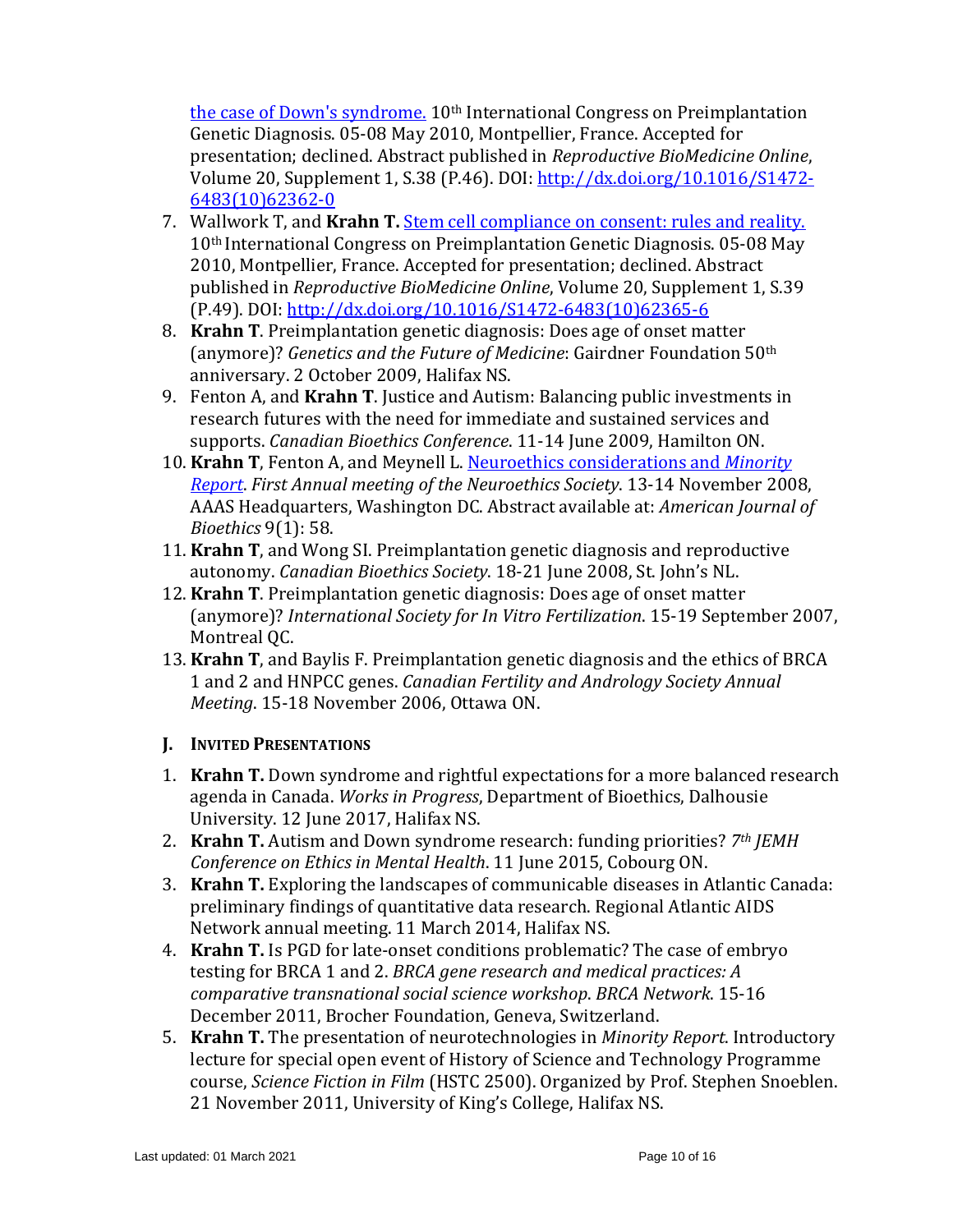[the case of Down's syndrome.](http://www.rbmojournal.com/article/S1472-6483%2810%2962362-0/pdf) 10th International Congress on Preimplantation Genetic Diagnosis. 05-08 May 2010, Montpellier, France. Accepted for presentation; declined. Abstract published in *Reproductive BioMedicine Online*, Volume 20, Supplement 1, S.38 (P.46). DOI: [http://dx.doi.org/10.1016/S1472-](http://dx.doi.org/10.1016/S1472-6483%2810%2962362-0) [6483\(10\)62362-0](http://dx.doi.org/10.1016/S1472-6483%2810%2962362-0)

- 7. Wallwork T, and **Krahn T.** [Stem cell compliance on consent: rules and reality.](http://ac.els-cdn.com/S1472648310623656/1-s2.0-S1472648310623656-main.pdf?_tid=67052762-f335-11e4-9615-00000aacb360&acdnat=1430837321_c7e736361475f618a44a2d9fc2271e8f) 10th International Congress on Preimplantation Genetic Diagnosis. 05-08 May 2010, Montpellier, France. Accepted for presentation; declined. Abstract published in *Reproductive BioMedicine Online*, Volume 20, Supplement 1, S.39 (P.49). DOI[: http://dx.doi.org/10.1016/S1472-6483\(10\)62365-6](http://dx.doi.org/10.1016/S1472-6483%2810%2962365-6)
- 8. **Krahn T**. Preimplantation genetic diagnosis: Does age of onset matter (anymore)? *Genetics and the Future of Medicine*: Gairdner Foundation 50th anniversary. 2 October 2009, Halifax NS.
- 9. Fenton A, and **Krahn T**. Justice and Autism: Balancing public investments in research futures with the need for immediate and sustained services and supports. *Canadian Bioethics Conference*. 11-14 June 2009, Hamilton ON.
- 10. **Krahn T**, Fenton A, and Meynell L. [Neuroethics considerations and](http://www.informaworld.com/smpp/content~content=a907481709~db=all) *Minority [Report](http://www.informaworld.com/smpp/content~content=a907481709~db=all)*. *First Annual meeting of the Neuroethics Society*. 13-14 November 2008, AAAS Headquarters, Washington DC. Abstract available at: *American Journal of Bioethics* 9(1): 58.
- 11. **Krahn T**, and Wong SI. Preimplantation genetic diagnosis and reproductive autonomy. *Canadian Bioethics Society*. 18-21 June 2008, St. John's NL.
- 12. **Krahn T**. Preimplantation genetic diagnosis: Does age of onset matter (anymore)? *International Society for In Vitro Fertilization*. 15-19 September 2007, Montreal OC.
- 13. **Krahn T**, and Baylis F. Preimplantation genetic diagnosis and the ethics of BRCA 1 and 2 and HNPCC genes. *Canadian Fertility and Andrology Society Annual Meeting*. 15-18 November 2006, Ottawa ON.

# **J. INVITED PRESENTATIONS**

- 1. **Krahn T.** Down syndrome and rightful expectations for a more balanced research agenda in Canada. *Works in Progress*, Department of Bioethics, Dalhousie University. 12 June 2017, Halifax NS.
- 2. **Krahn T.** Autism and Down syndrome research: funding priorities? *7th JEMH Conference on Ethics in Mental Health*. 11 June 2015, Cobourg ON.
- 3. **Krahn T.** Exploring the landscapes of communicable diseases in Atlantic Canada: preliminary findings of quantitative data research. Regional Atlantic AIDS Network annual meeting. 11 March 2014, Halifax NS.
- 4. **Krahn T.** Is PGD for late-onset conditions problematic? The case of embryo testing for BRCA 1 and 2. *BRCA gene research and medical practices: A comparative transnational social science workshop*. *BRCA Network*. 15-16 December 2011, Brocher Foundation, Geneva, Switzerland.
- 5. **Krahn T.** The presentation of neurotechnologies in *Minority Report*. Introductory lecture for special open event of History of Science and Technology Programme course, *Science Fiction in Film* (HSTC 2500). Organized by Prof. Stephen Snoeblen. 21 November 2011, University of King's College, Halifax NS.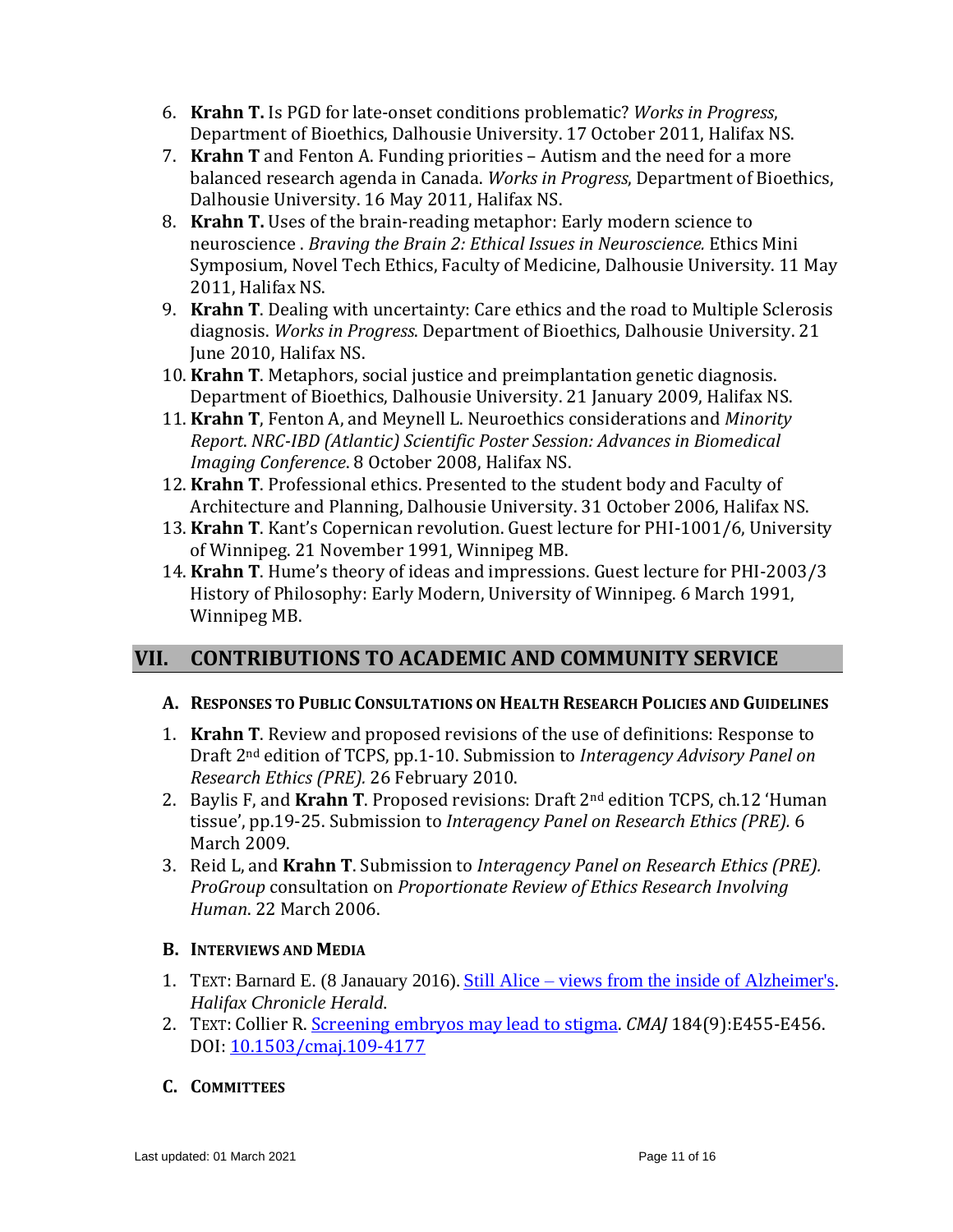- 6. **Krahn T.** Is PGD for late-onset conditions problematic? *Works in Progress*, Department of Bioethics, Dalhousie University. 17 October 2011, Halifax NS.
- 7. **Krahn T** and Fenton A. Funding priorities Autism and the need for a more balanced research agenda in Canada. *Works in Progress*, Department of Bioethics, Dalhousie University. 16 May 2011, Halifax NS.
- 8. **Krahn T.** Uses of the brain-reading metaphor: Early modern science to neuroscience . *Braving the Brain 2: Ethical Issues in Neuroscience.* Ethics Mini Symposium, Novel Tech Ethics, Faculty of Medicine, Dalhousie University. 11 May 2011, Halifax NS.
- 9. **Krahn T**. Dealing with uncertainty: Care ethics and the road to Multiple Sclerosis diagnosis. *Works in Progress*. Department of Bioethics, Dalhousie University. 21 June 2010, Halifax NS.
- 10. **Krahn T**. Metaphors, social justice and preimplantation genetic diagnosis. Department of Bioethics, Dalhousie University. 21 January 2009, Halifax NS.
- 11. **Krahn T**, Fenton A, and Meynell L. Neuroethics considerations and *Minority Report*. *NRC-IBD (Atlantic) Scientific Poster Session: Advances in Biomedical Imaging Conference*. 8 October 2008, Halifax NS.
- 12. **Krahn T**. Professional ethics. Presented to the student body and Faculty of Architecture and Planning, Dalhousie University. 31 October 2006, Halifax NS.
- 13. **Krahn T**. Kant's Copernican revolution. Guest lecture for PHI-1001/6, University of Winnipeg. 21 November 1991, Winnipeg MB.
- 14. **Krahn T**. Hume's theory of ideas and impressions. Guest lecture for PHI-2003/3 History of Philosophy: Early Modern, University of Winnipeg. 6 March 1991, Winnipeg MB.

# **VII. CONTRIBUTIONS TO ACADEMIC AND COMMUNITY SERVICE**

# **A. RESPONSES TO PUBLIC CONSULTATIONS ON HEALTH RESEARCH POLICIES AND GUIDELINES**

- 1. **Krahn T**. Review and proposed revisions of the use of definitions: Response to Draft 2nd edition of TCPS, pp.1-10. Submission to *Interagency Advisory Panel on Research Ethics (PRE).* 26 February 2010.
- 2. Baylis F, and **Krahn T**. Proposed revisions: Draft 2nd edition TCPS, ch.12 'Human tissue', pp.19-25. Submission to *Interagency Panel on Research Ethics (PRE).* 6 March 2009.
- 3. Reid L, and **Krahn T**. Submission to *Interagency Panel on Research Ethics (PRE). ProGroup* consultation on *Proportionate Review of Ethics Research Involving Human*. 22 March 2006.

# **B. INTERVIEWS AND MEDIA**

- 1. TEXT: Barnard E. (8 Janauary 2016). Still Alice [views from the inside of Alzheimer's.](http://www.dal.ca/sites/noveltechethics/news-events/PastEvents/2016/01/09/still_alice___views_from_the_inside_of_alzheimer_s.html) *Halifax Chronicle Herald.*
- 2. TEXT: Collier R. [Screening embryos may lead to stigma.](http://www.ncbi.nlm.nih.gov/pmc/articles/PMC3381753/) *CMAJ* 184(9):E455-E456. DOI: [10.1503/cmaj.109-4177](http://dx.doi.org/10.1503%2Fcmaj.109-4177)

# **C. COMMITTEES**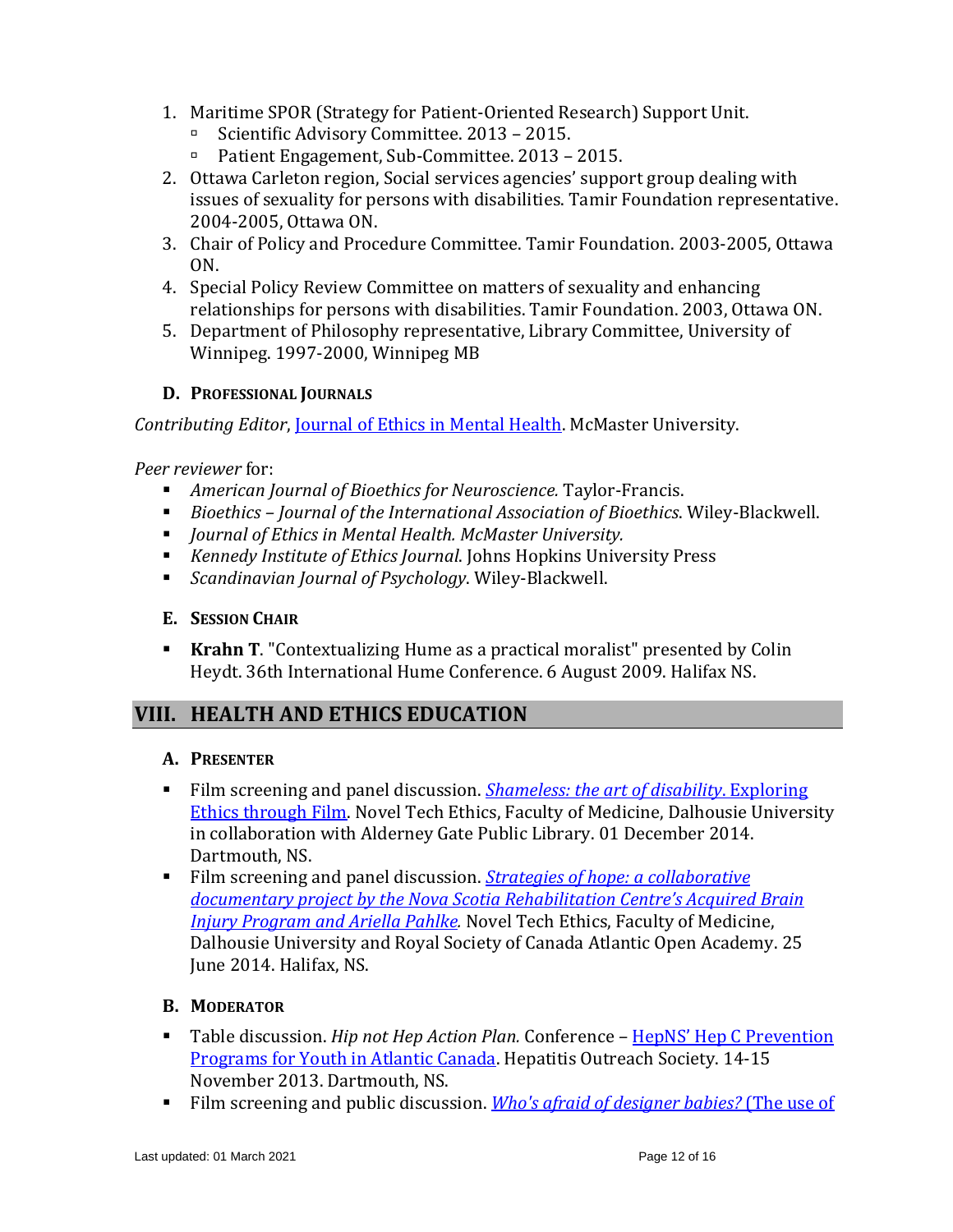- 1. Maritime SPOR (Strategy for Patient-Oriented Research) Support Unit.
	- Scientific Advisory Committee. 2013 2015.
	- Patient Engagement, Sub-Committee. 2013 2015.
- 2. Ottawa Carleton region, Social services agencies' support group dealing with issues of sexuality for persons with disabilities. Tamir Foundation representative. 2004-2005, Ottawa ON.
- 3. Chair of Policy and Procedure Committee. Tamir Foundation. 2003-2005, Ottawa ON.
- 4. Special Policy Review Committee on matters of sexuality and enhancing relationships for persons with disabilities. Tamir Foundation. 2003, Ottawa ON.
- 5. Department of Philosophy representative, Library Committee, University of Winnipeg. 1997-2000, Winnipeg MB

#### **D. PROFESSIONAL JOURNALS**

*Contributing Editor*, [Journal of Ethics in Mental Health.](http://www.jemh.ca/) McMaster University.

*Peer reviewer* for:

- *American Journal of Bioethics for Neuroscience.* Taylor-Francis.
- *Bioethics Journal of the International Association of Bioethics*. Wiley-Blackwell.
- *Journal of Ethics in Mental Health. McMaster University.*
- *Kennedy Institute of Ethics Journal*. Johns Hopkins University Press
- *Scandinavian Journal of Psychology*. Wiley-Blackwell.

#### **E. SESSION CHAIR**

**Krahn T**. "Contextualizing Hume as a practical moralist" presented by Colin Heydt. 36th International Hume Conference. 6 August 2009. Halifax NS.

# **VIII. HEALTH AND ETHICS EDUCATION**

#### **A. PRESENTER**

- Film screening and panel discussion. *[Shameless: the art of disability](https://www.dal.ca/sites/noveltechethics/news-events/PastEvents/2014/12/01/shameless.html)*. Exploring [Ethics through Film.](https://www.dal.ca/sites/noveltechethics/news-events/PastEvents/2014/12/01/shameless.html) Novel Tech Ethics, Faculty of Medicine, Dalhousie University in collaboration with Alderney Gate Public Library. 01 December 2014. Dartmouth, NS.
- Film screening and panel discussion. *[Strategies of hope: a](https://rsc-src.ca/sites/default/files/pdf/RSC%20Open%20Academy_Final%20Report_Strategies%20of%20Hope_June2014_3.pdf) collaborative [documentary project by the Nova Scotia Rehabilitation Centre's Acquired Brain](https://rsc-src.ca/sites/default/files/pdf/RSC%20Open%20Academy_Final%20Report_Strategies%20of%20Hope_June2014_3.pdf)  [Injury Program and Ariella Pahlke.](https://rsc-src.ca/sites/default/files/pdf/RSC%20Open%20Academy_Final%20Report_Strategies%20of%20Hope_June2014_3.pdf)* Novel Tech Ethics, Faculty of Medicine, Dalhousie University and Royal Society of Canada Atlantic Open Academy. 25 June 2014. Halifax, NS.

# **B. MODERATOR**

- Table discussion. *Hip not Hep Action Plan.* Conference HepNS' Hep C Prevention [Programs for Youth in Atlantic Canada.](http://www.hepns.ca/Downloads/Newsletter/Current.pdf) Hepatitis Outreach Society. 14-15 November 2013. Dartmouth, NS.
- Film screening and public discussion. *Who's afraid of designer babies?* (The use of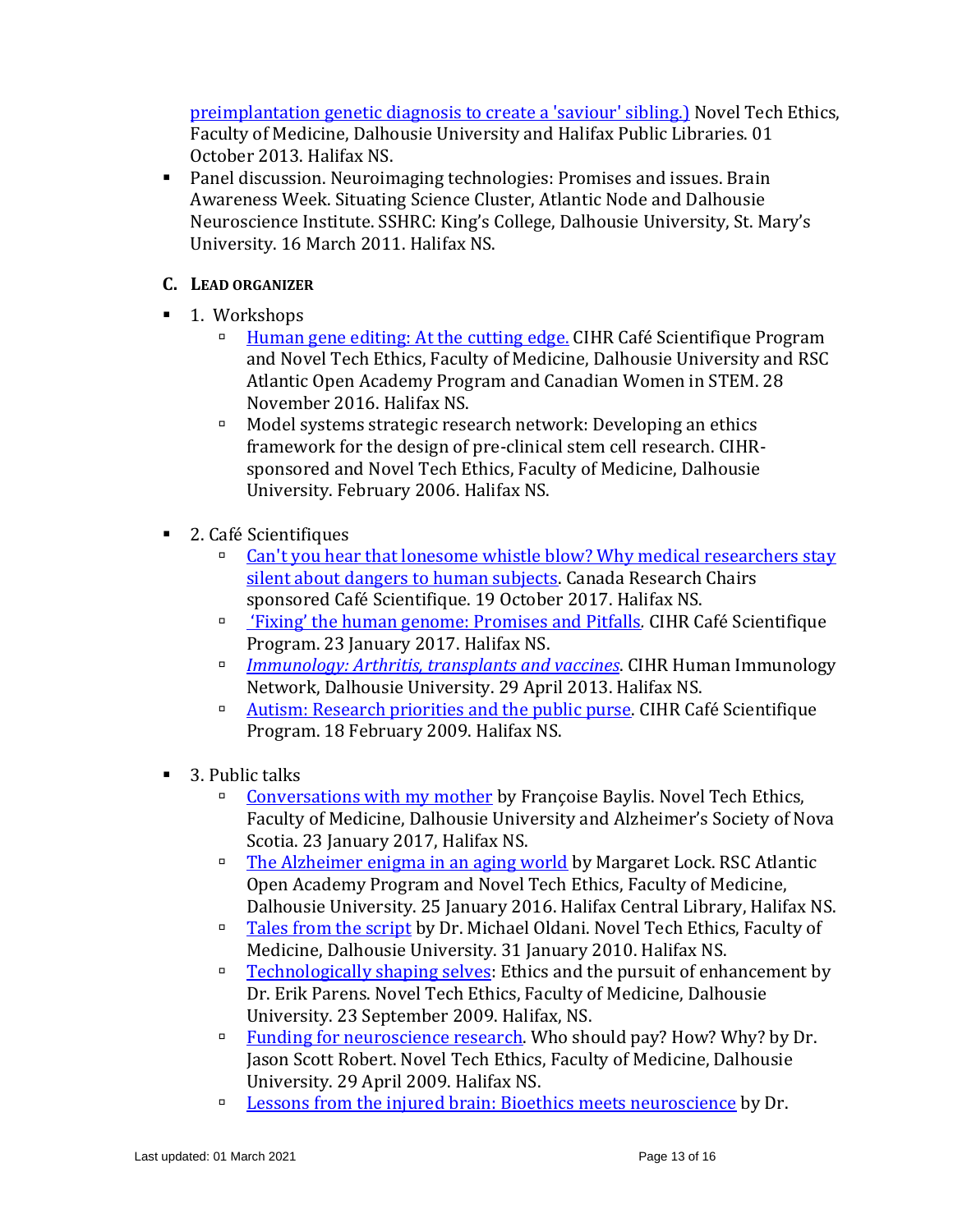[preimplantation genetic diagnosis to create a 'saviour' sibling.\)](https://www.dal.ca/sites/noveltechethics/news-events/PastEvents/2013/10/01/who_s_afraid_of_designer_babies_.html) Novel Tech Ethics, Faculty of Medicine, Dalhousie University and Halifax Public Libraries. 01 October 2013. Halifax NS.

Panel discussion. Neuroimaging technologies: Promises and issues. Brain Awareness Week. Situating Science Cluster, Atlantic Node and Dalhousie Neuroscience Institute. SSHRC: King's College, Dalhousie University, St. Mary's University. 16 March 2011. Halifax NS.

### **C. LEAD ORGANIZER**

- 1. Workshops
	- [Human gene editing: At the cutting edge.](https://www.dal.ca/sites/noveltechethics/news-events/PastEvents/2016/11/28/human_gene_editing__at_the_cutting_edge.html) CIHR Café Scientifique Program and Novel Tech Ethics, Faculty of Medicine, Dalhousie University and RSC Atlantic Open Academy Program and Canadian Women in STEM. 28 November 2016. Halifax NS.
	- Model systems strategic research network: Developing an ethics framework for the design of pre-clinical stem cell research. CIHRsponsored and Novel Tech Ethics, Faculty of Medicine, Dalhousie University. February 2006. Halifax NS.
- 2. Café Scientifiques
	- □ Can't you hear that lonesome whistle blow? Why medical researchers stay [silent about dangers to human subjects.](https://www.dal.ca/sites/noveltechethics/news-events/PastEvents/2017/10/19/why_medical_researchers_stay_silent_about_dangers_to_human_subjects.html) Canada Research Chairs sponsored Café Scientifique. 19 October 2017. Halifax NS.
	- ['Fixing' the human genome: Promises and Pitfalls](https://www.dal.ca/sites/noveltechethics/news-events/PastEvents/2017/01/23/_fixing__the_human_genome__promises___pitfalls.html)*.* CIHR Café Scientifique Program. 23 January 2017. Halifax NS.
	- *[Immunology: Arthritis, transplants and](http://www.centerforvaccinology.ca/documents/CafeScientifique_WorldImmunologyDay_29April2013_7-9PMDurtyNellysHalifax_POSTER.pdf) vaccines*. CIHR Human Immunology Network, Dalhousie University. 29 April 2013. Halifax NS.
	- <sup>n</sup> [Autism: Research priorities and the public purse.](https://www.dal.ca/sites/noveltechethics/news-events/PastEvents/2009/02/16/autism__research_priorities_and_the_public_purse.html) CIHR Café Scientifique Program. 18 February 2009. Halifax NS.
- 3. Public talks
	- [Conversations with my mother](https://www.dal.ca/sites/noveltechethics/news-events/PastEvents/2017/01/23/conversation_with_my_mother.html) by Françoise Baylis. Novel Tech Ethics, Faculty of Medicine, Dalhousie University and Alzheimer's Society of Nova Scotia. 23 January 2017, Halifax NS.
	- The [Alzheimer enigma in an aging world](https://www.dal.ca/sites/noveltechethics/news-events/PastEvents/2016/01/25/the_alzheimer_enigma_in_an_aging_world.html) by Margaret Lock. RSC Atlantic Open Academy Program and Novel Tech Ethics, Faculty of Medicine, Dalhousie University. 25 January 2016. Halifax Central Library, Halifax NS.
	- □ [Tales from the script](https://www.dal.ca/sites/noveltechethics/news-events/PastEvents/2010/01/13/tales_from_the_script.html) by Dr. Michael Oldani. Novel Tech Ethics, Faculty of Medicine, Dalhousie University. 31 January 2010. Halifax NS.
	- [Technologically shaping selves:](https://www.dal.ca/sites/noveltechethics/news-events/PastEvents/2009/09/23/technologically_shaping_selves.html) Ethics and the pursuit of enhancement by Dr. Erik Parens. Novel Tech Ethics, Faculty of Medicine, Dalhousie University. 23 September 2009. Halifax, NS.
	- <u>Funding for neuroscience research</u>. Who should pay? How? Why? by Dr. Jason Scott Robert. Novel Tech Ethics, Faculty of Medicine, Dalhousie University. 29 April 2009. Halifax NS.
	- □ [Lessons from the injured brain: Bioethics meets neuroscience](https://www.dal.ca/sites/noveltechethics/news-events/PastEvents/2008/09/25/lessons_from_the_injured_brain.html) by Dr.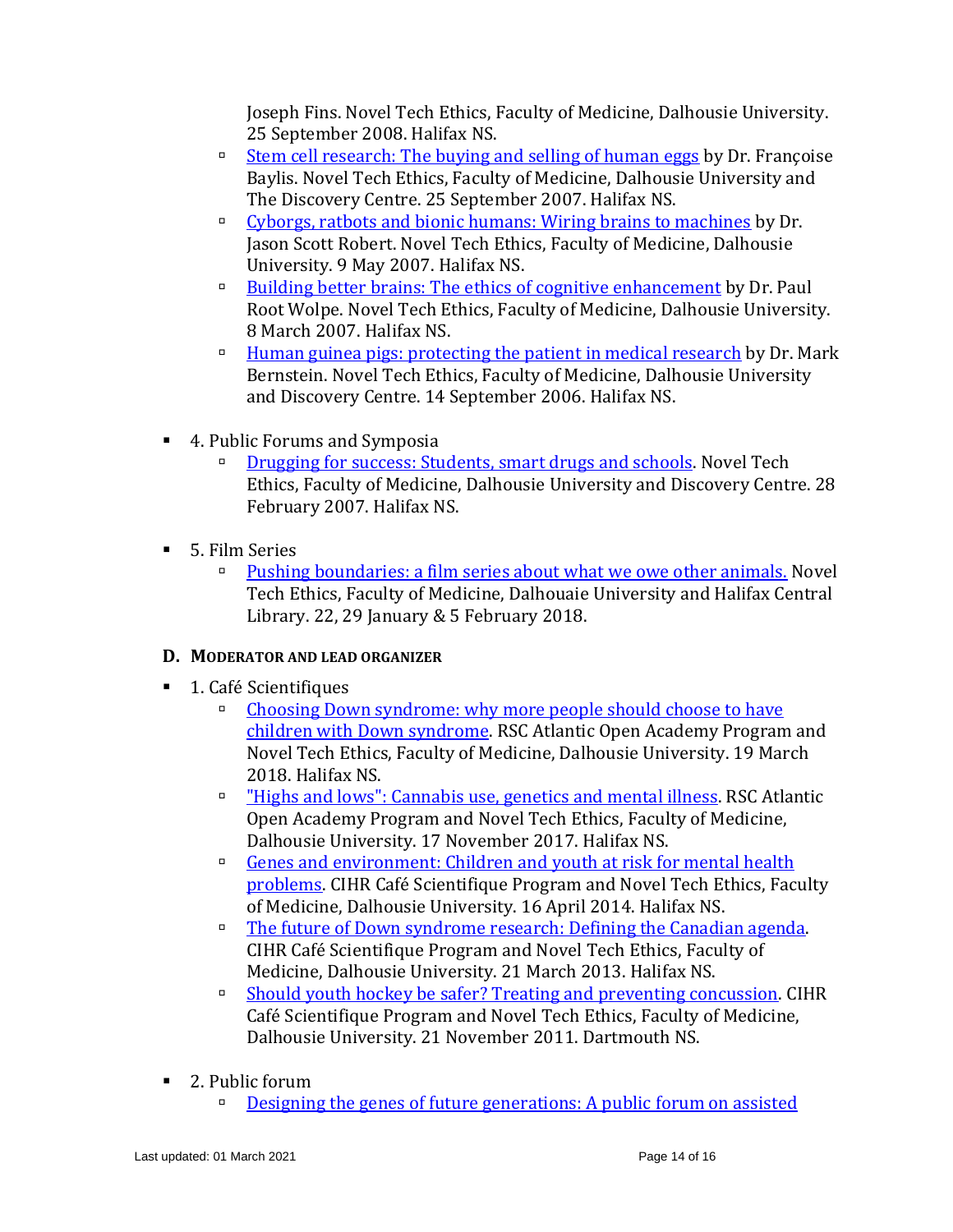Joseph Fins. Novel Tech Ethics, Faculty of Medicine, Dalhousie University. 25 September 2008. Halifax NS.

- <u>**[Stem cell research: The buying and selling of human eggs](https://www.dal.ca/sites/noveltechethics/news-events/PastEvents/2007/09/25/stem_cell_research.html) by Dr. Françoise**</u> Baylis. Novel Tech Ethics, Faculty of Medicine, Dalhousie University and The Discovery Centre. 25 September 2007. Halifax NS.
- □ Cyborgs, ratbots and [bionic humans: Wiring brains to machines](https://www.dal.ca/sites/noveltechethics/news-events/PastEvents/2007/05/09/cyborgs__ratbots___bionic_humans.html) by Dr. Jason Scott Robert. Novel Tech Ethics, Faculty of Medicine, Dalhousie University. 9 May 2007. Halifax NS.
- **■** [Building better brains: The ethics of cognitive enhancement](https://www.dal.ca/sites/noveltechethics/news-events/PastEvents/2007/03/08/building_better_brains.html) by Dr. Paul Root Wolpe. Novel Tech Ethics, Faculty of Medicine, Dalhousie University. 8 March 2007. Halifax NS.
- **[Human guinea pigs: protecting the patient in medical research](https://www.dal.ca/sites/noveltechethics/news-events/PastEvents/2006/09/14/human_guinea_pigs.html) by Dr. Mark** Bernstein. Novel Tech Ethics, Faculty of Medicine, Dalhousie University and Discovery Centre. 14 September 2006. Halifax NS.
- 4. Public Forums and Symposia
	- **□** [Drugging for success: Students, smart drugs and](https://www.dal.ca/sites/noveltechethics/news-events/PastEvents/2007/02/28/drugging_for_success.html) schools. Novel Tech Ethics, Faculty of Medicine, Dalhousie University and Discovery Centre. 28 February 2007. Halifax NS.
- 5. Film Series
	- **[Pushing boundaries: a film series about what we owe other animals.](https://www.dal.ca/sites/noveltechethics/news-events/PastEvents/2018/01/22/pushing_boundaries__a_film_series_about_what_we_owe_other_animals.html) Novel** Tech Ethics, Faculty of Medicine, Dalhouaie University and Halifax Central Library. 22, 29 January & 5 February 2018.

# **D. MODERATOR AND LEAD ORGANIZER**

- 1. Café Scientifiques
	- [Choosing Down syndrome: why more people should choose to have](https://www.dal.ca/sites/noveltechethics/news-events/PastEvents/2018/03/19/choosing_down_syndrome__why_more_people_should_choose_to_have_children_with_down_syndrome.html)  [children with Down syndrome.](https://www.dal.ca/sites/noveltechethics/news-events/PastEvents/2018/03/19/choosing_down_syndrome__why_more_people_should_choose_to_have_children_with_down_syndrome.html) RSC Atlantic Open Academy Program and Novel Tech Ethics, Faculty of Medicine, Dalhousie University. 19 March 2018. Halifax NS.
	- <sup>□</sup> ["Highs and lows": Cannabis use, genetics and mental illness.](https://www.dal.ca/sites/noveltechethics/news-events/PastEvents/2017/11/27/_highs___lows___cannabis_use__genetics____mental_illness.html) RSC Atlantic Open Academy Program and Novel Tech Ethics, Faculty of Medicine, Dalhousie University. 17 November 2017. Halifax NS.
	- □ Genes and environment: Children and youth at risk for mental health [problems.](http://www.dal.ca/sites/noveltechethics/news-events/PastEvents/2014/04/16/genes___environment__children___youth_at_risk__caf___scientifique.html) CIHR Café Scientifique Program and Novel Tech Ethics, Faculty of Medicine, Dalhousie University. 16 April 2014. Halifax NS.
	- **[The future of Down syndrome research: Defining the Canadian agenda.](http://www.dal.ca/sites/noveltechethics/news-events/PastEvents/2013/03/21/the_future_of_down_syndrome_research__cihr_cafe_scientifique.html)** CIHR Café Scientifique Program and Novel Tech Ethics, Faculty of Medicine, Dalhousie University. 21 March 2013. Halifax NS.
	- [Should youth hockey be safer? Treating and preventing concussion.](http://www.dal.ca/sites/noveltechethics/news-events/PastEvents/2011/11/21/should_youth_hockey_be_safer__cihr_cafe_scientifique.html) CIHR Café Scientifique Program and Novel Tech Ethics, Faculty of Medicine, Dalhousie University. 21 November 2011. Dartmouth NS.
- 2. Public forum
	- □ [Designing the genes of future generations: A public](https://www.dal.ca/sites/noveltechethics/news-events/PastEvents/2008/05/07/designing_the_genes_of_future_generations.html) forum on assisted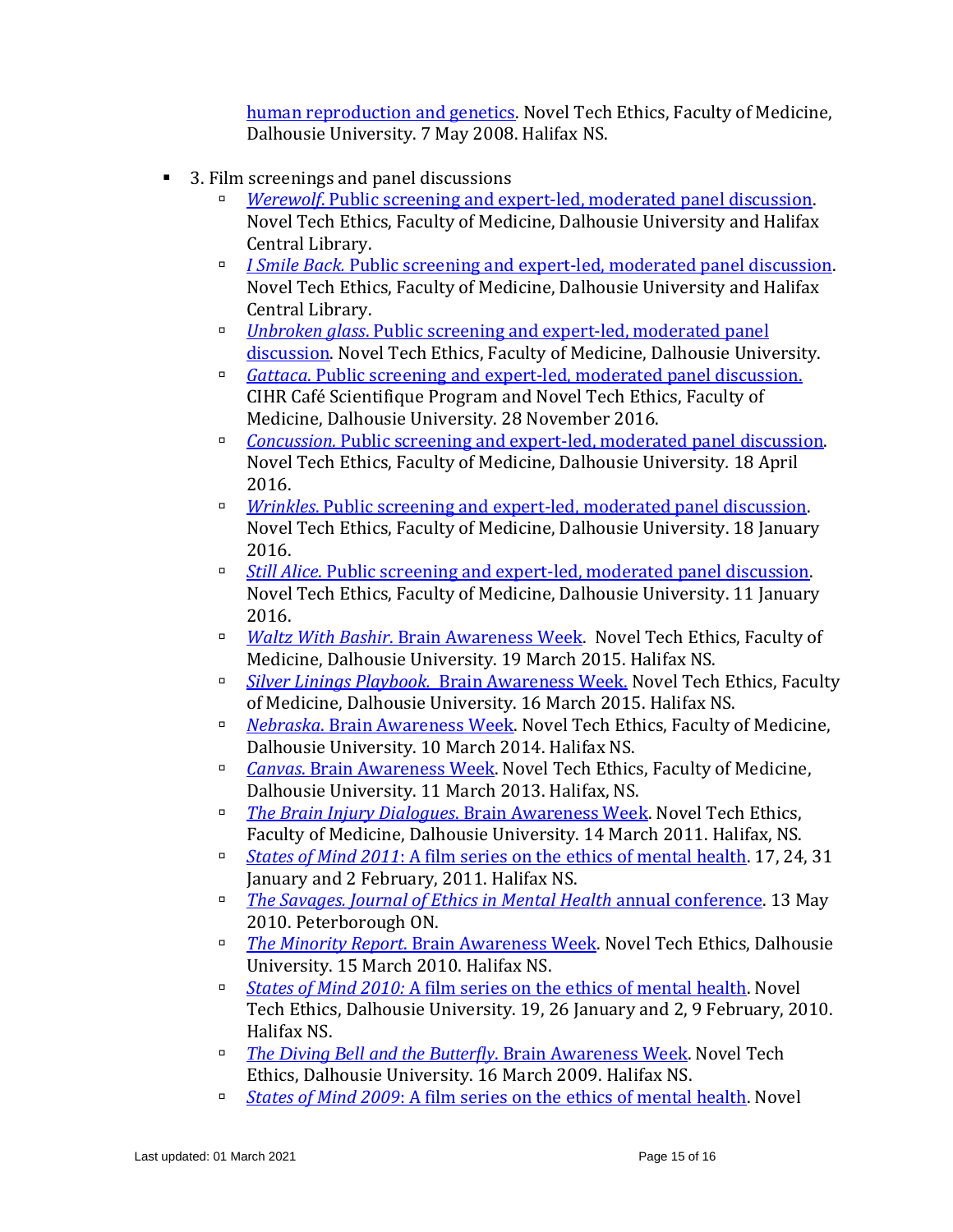[human reproduction and](https://www.dal.ca/sites/noveltechethics/news-events/PastEvents/2008/05/07/designing_the_genes_of_future_generations.html) genetics. Novel Tech Ethics, Faculty of Medicine, Dalhousie University. 7 May 2008. Halifax NS.

- 3. Film screenings and panel discussions
	- *Werewolf*[. Public screening and expert-led, moderated panel discussion.](https://www.dal.ca/sites/noveltechethics/news-events/PastEvents/2018/06/11/werewolf.html) Novel Tech Ethics, Faculty of Medicine, Dalhousie University and Halifax Central Library.
	- *I Smile Back.* [Public screening and expert-led, moderated panel discussion.](https://www.dal.ca/sites/noveltechethics/news-events/PastEvents/2018/03.html) Novel Tech Ethics, Faculty of Medicine, Dalhousie University and Halifax Central Library.
	- *Unbroken glass*[. Public screening and expert-led, moderated panel](https://www.dal.ca/sites/noveltechethics/news-events/PastEvents/2017/03/27/unbroken_glass___brain_awareness_week.html)  [discussion.](https://www.dal.ca/sites/noveltechethics/news-events/PastEvents/2017/03/27/unbroken_glass___brain_awareness_week.html) Novel Tech Ethics, Faculty of Medicine, Dalhousie University.
	- *Gattaca*[. Public screening and expert-led, moderated panel discussion.](https://www.dal.ca/sites/noveltechethics/news-events/PastEvents/2016/11/28/gattaca.html) CIHR Café Scientifique Program and Novel Tech Ethics, Faculty of Medicine, Dalhousie University. 28 November 2016.
	- *Concussion.* [Public screening and expert-led, moderated panel discussion.](http://www.dal.ca/sites/noveltechethics/news-events/PastEvents/2016/03/16/concussion___public_screening_followed_by_expert_led_panel_discussion.html) Novel Tech Ethics, Faculty of Medicine, Dalhousie University*.* 18 April 2016.
	- *Wrinkles*[. Public screening and expert-led, moderated](http://www.dal.ca/sites/noveltechethics/news-events/PastEvents/2016/01/18/wrinkles.html) panel discussion. Novel Tech Ethics, Faculty of Medicine, Dalhousie University. 18 January 2016.
	- *Still Alice*[. Public screening and expert-led, moderated panel discussion.](http://www.dal.ca/sites/noveltechethics/news-events/PastEvents/2016/01/11/still_alice.html) Novel Tech Ethics, Faculty of Medicine, Dalhousie University. 11 January 2016.
	- *Waltz With Bashir*[. Brain Awareness Week.](http://www.dal.ca/sites/noveltechethics/news-events/PastEvents/2015/03/19/waltzing_with_bashir___brain_awareness_week.html) Novel Tech Ethics, Faculty of Medicine, Dalhousie University. 19 March 2015. Halifax NS.
	- *Silver Linings Playbook.* [Brain Awareness Week.](http://www.dal.ca/sites/noveltechethics/news-events/PastEvents/2015/03/16/silver_linings_playbook___brain_awareness_week.html) Novel Tech Ethics, Faculty of Medicine, Dalhousie University. 16 March 2015. Halifax NS.
	- *Nebraska*[. Brain Awareness Week.](https://www.dal.ca/sites/noveltechethics/news-events/PastEvents/2014/03/10/nebraska.html) Novel Tech Ethics, Faculty of Medicine, Dalhousie University. 10 March 2014. Halifax NS.
	- *Canvas*[. Brain Awareness Week.](https://www.dal.ca/sites/noveltechethics/news-events/PastEvents/2013/03/11/canvas.html) Novel Tech Ethics, Faculty of Medicine, Dalhousie University. 11 March 2013. Halifax, NS.
	- *[The Brain Injury Dialogues](https://www.dal.ca/sites/noveltechethics/news-events/PastEvents/2011/03/14/brain_injury_dialogues.html)*. Brain Awareness Week. Novel Tech Ethics, Faculty of Medicine, Dalhousie University. 14 March 2011. Halifax, NS.
	- *States of Mind 2011*[: A film series on the ethics of mental health.](https://www.dal.ca/sites/noveltechethics/news-events/PastEvents/2011/01/24/states_of_mind_2011.html) 17, 24, 31 January and 2 February, 2011. Halifax NS.
	- *The Savages. [Journal of Ethics in Mental Health](http://www.jemh.ca/conferences/2010/documents/JEMHposter2010final.pdf)* annual conference. 13 May 2010. Peterborough ON.
	- *The Minority Report*[. Brain Awareness Week.](https://www.dal.ca/sites/noveltechethics/news-events/PastEvents/2010/03/15/minority_report.html) Novel Tech Ethics, Dalhousie University. 15 March 2010. Halifax NS.
	- *States of Mind 2010:* [A film series on the ethics of mental health.](https://www.dal.ca/sites/noveltechethics/news-events/PastEvents/2010/01/26/states_of_mind_2010.html) Novel Tech Ethics, Dalhousie University. 19, 26 January and 2, 9 February, 2010. Halifax NS.
	- *[The Diving Bell and the Butterfly](https://www.dal.ca/sites/noveltechethics/news-events/PastEvents/2009/03/16/the_diving_bell___the_butterfly.html)*[. Brain Awareness Week.](https://www.dal.ca/sites/noveltechethics/news-events/PastEvents/2009/03/16/the_diving_bell___the_butterfly.html) Novel Tech Ethics, Dalhousie University. 16 March 2009. Halifax NS.
	- *States of Mind 2009*[: A film series on the ethics of mental health.](https://www.dal.ca/sites/noveltechethics/news-events/PastEvents/2009/01/28/states_of_mind_2009.html) Novel